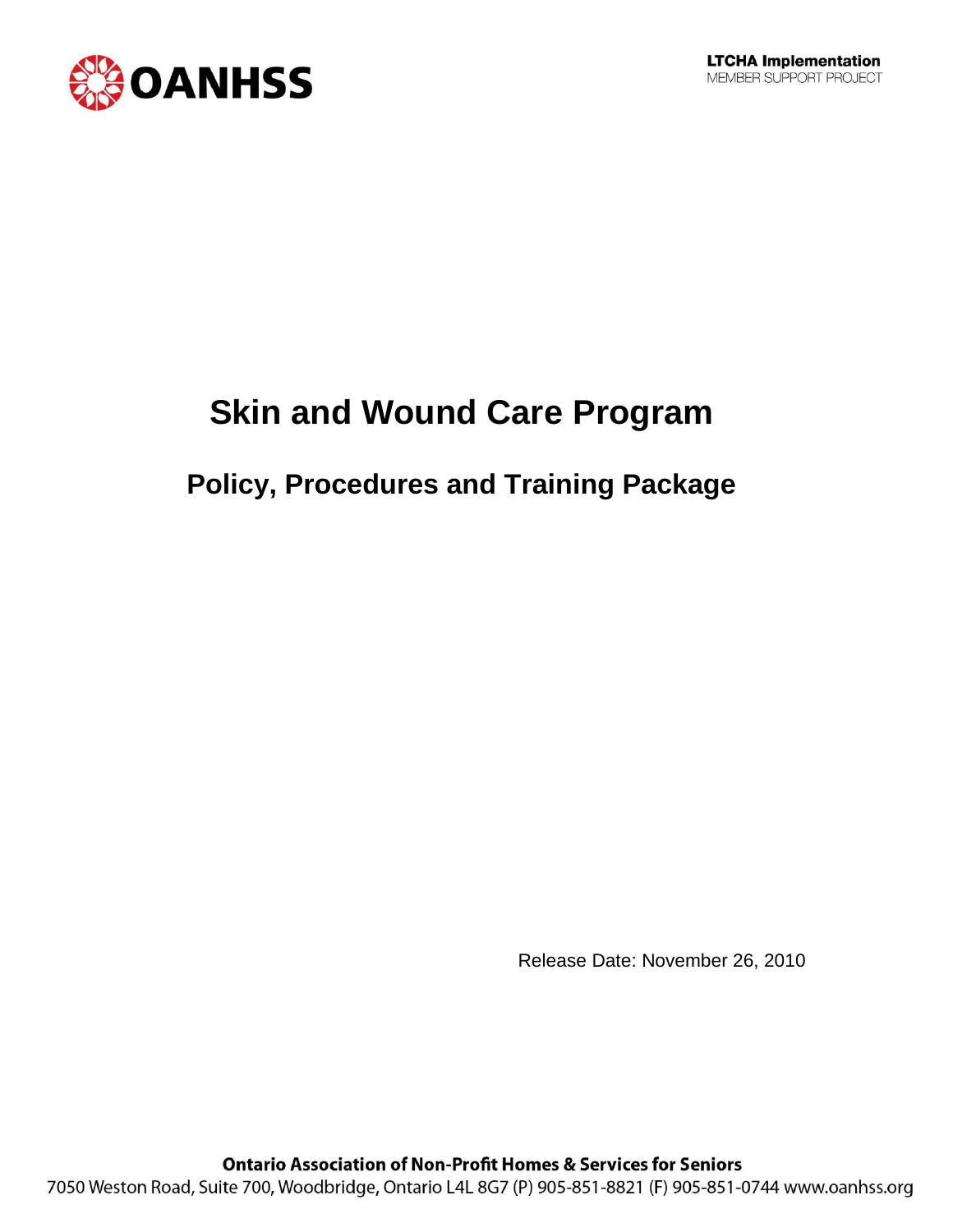

# **Skin and Wound Care Program**

# **Policy, Procedures and Training Package**

Release Date: November 26, 2010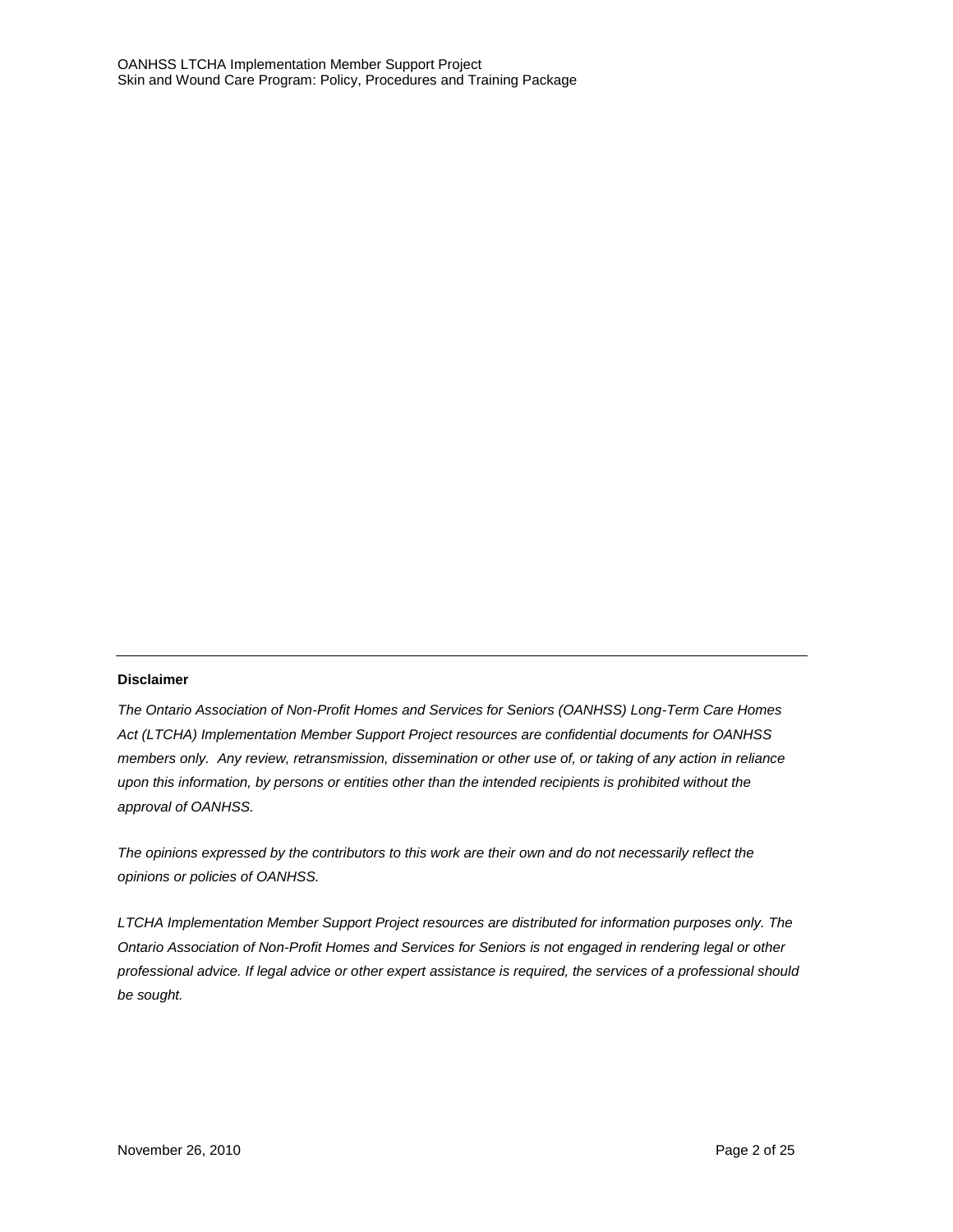#### **Disclaimer**

*The Ontario Association of Non-Profit Homes and Services for Seniors (OANHSS) Long-Term Care Homes Act (LTCHA) Implementation Member Support Project resources are confidential documents for OANHSS members only. Any review, retransmission, dissemination or other use of, or taking of any action in reliance upon this information, by persons or entities other than the intended recipients is prohibited without the approval of OANHSS.*

*The opinions expressed by the contributors to this work are their own and do not necessarily reflect the opinions or policies of OANHSS.*

*LTCHA Implementation Member Support Project resources are distributed for information purposes only. The Ontario Association of Non-Profit Homes and Services for Seniors is not engaged in rendering legal or other professional advice. If legal advice or other expert assistance is required, the services of a professional should be sought.*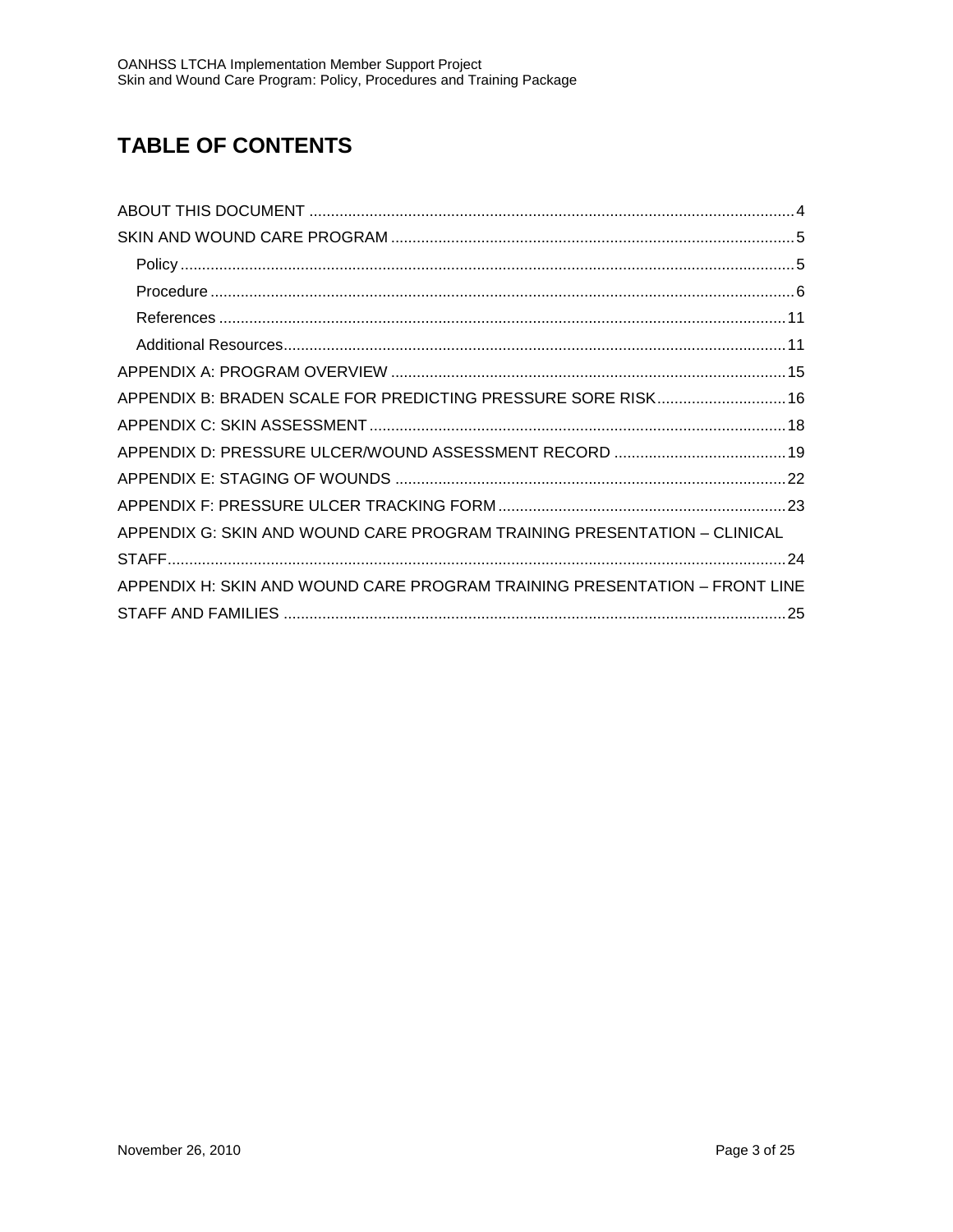# **TABLE OF CONTENTS**

| APPENDIX B: BRADEN SCALE FOR PREDICTING PRESSURE SORE RISK 16              |  |
|----------------------------------------------------------------------------|--|
|                                                                            |  |
|                                                                            |  |
|                                                                            |  |
|                                                                            |  |
| APPENDIX G: SKIN AND WOUND CARE PROGRAM TRAINING PRESENTATION – CLINICAL   |  |
|                                                                            |  |
| APPENDIX H: SKIN AND WOUND CARE PROGRAM TRAINING PRESENTATION - FRONT LINE |  |
|                                                                            |  |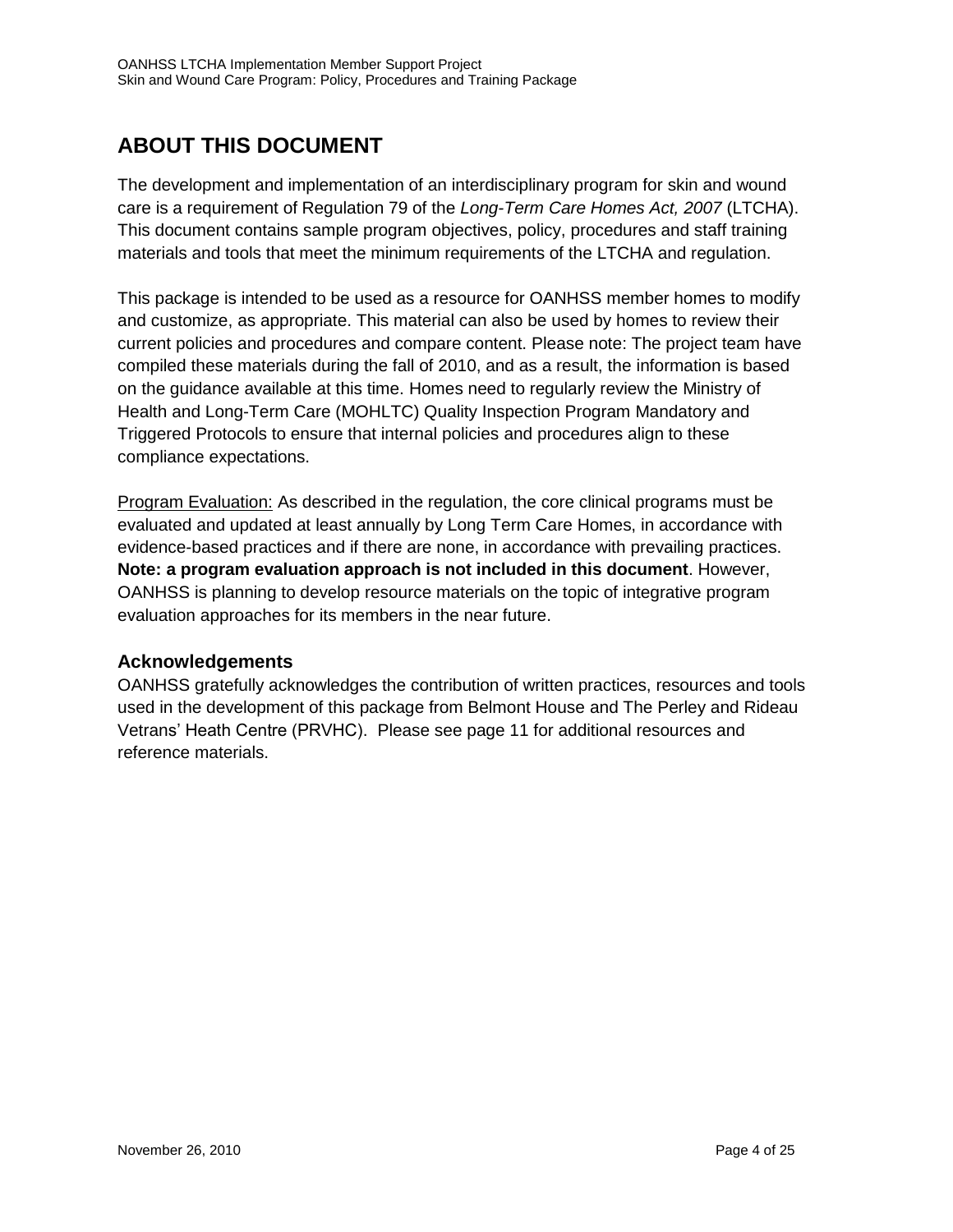# **ABOUT THIS DOCUMENT**

The development and implementation of an interdisciplinary program for skin and wound care is a requirement of Regulation 79 of the *Long-Term Care Homes Act, 2007* (LTCHA). This document contains sample program objectives, policy, procedures and staff training materials and tools that meet the minimum requirements of the LTCHA and regulation.

This package is intended to be used as a resource for OANHSS member homes to modify and customize, as appropriate. This material can also be used by homes to review their current policies and procedures and compare content. Please note: The project team have compiled these materials during the fall of 2010, and as a result, the information is based on the guidance available at this time. Homes need to regularly review the Ministry of Health and Long-Term Care (MOHLTC) Quality Inspection Program Mandatory and Triggered Protocols to ensure that internal policies and procedures align to these compliance expectations.

Program Evaluation: As described in the regulation, the core clinical programs must be evaluated and updated at least annually by Long Term Care Homes, in accordance with evidence-based practices and if there are none, in accordance with prevailing practices. **Note: a program evaluation approach is not included in this document**. However, OANHSS is planning to develop resource materials on the topic of integrative program evaluation approaches for its members in the near future.

### **Acknowledgements**

OANHSS gratefully acknowledges the contribution of written practices, resources and tools used in the development of this package from Belmont House and The Perley and Rideau Vetrans' Heath Centre (PRVHC). Please see page 11 for additional resources and reference materials.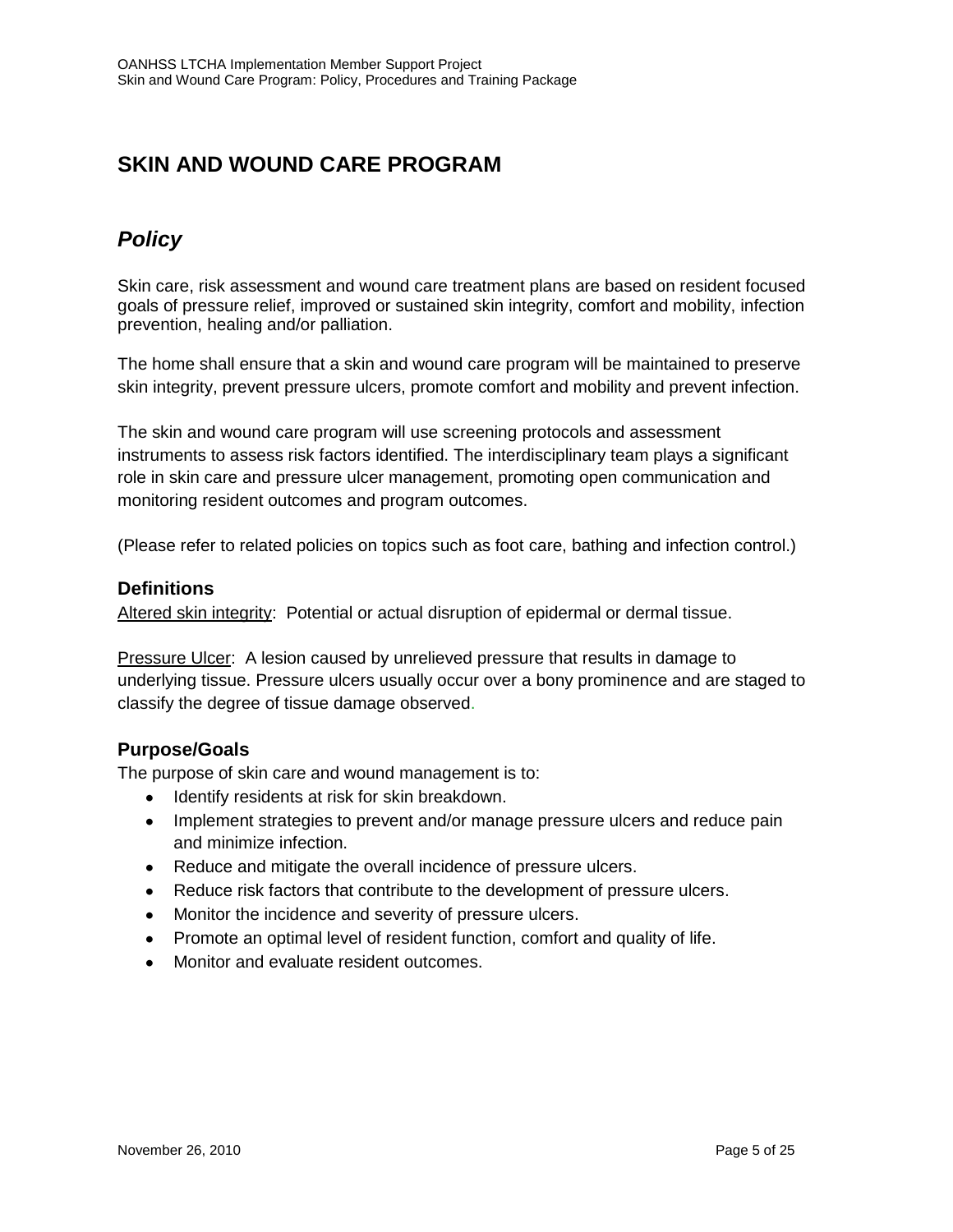### **SKIN AND WOUND CARE PROGRAM**

### *Policy*

Skin care, risk assessment and wound care treatment plans are based on resident focused goals of pressure relief, improved or sustained skin integrity, comfort and mobility, infection prevention, healing and/or palliation.

The home shall ensure that a skin and wound care program will be maintained to preserve skin integrity, prevent pressure ulcers, promote comfort and mobility and prevent infection.

The skin and wound care program will use screening protocols and assessment instruments to assess risk factors identified. The interdisciplinary team plays a significant role in skin care and pressure ulcer management, promoting open communication and monitoring resident outcomes and program outcomes.

(Please refer to related policies on topics such as foot care, bathing and infection control.)

#### **Definitions**

Altered skin integrity: Potential or actual disruption of epidermal or dermal tissue.

Pressure Ulcer: A lesion caused by unrelieved pressure that results in damage to underlying tissue. Pressure ulcers usually occur over a bony prominence and are staged to classify the degree of tissue damage observed.

#### **Purpose/Goals**

The purpose of skin care and wound management is to:

- Identify residents at risk for skin breakdown.  $\bullet$
- Implement strategies to prevent and/or manage pressure ulcers and reduce pain  $\bullet$ and minimize infection.
- Reduce and mitigate the overall incidence of pressure ulcers.
- Reduce risk factors that contribute to the development of pressure ulcers.
- Monitor the incidence and severity of pressure ulcers.  $\bullet$
- Promote an optimal level of resident function, comfort and quality of life.
- Monitor and evaluate resident outcomes. $\bullet$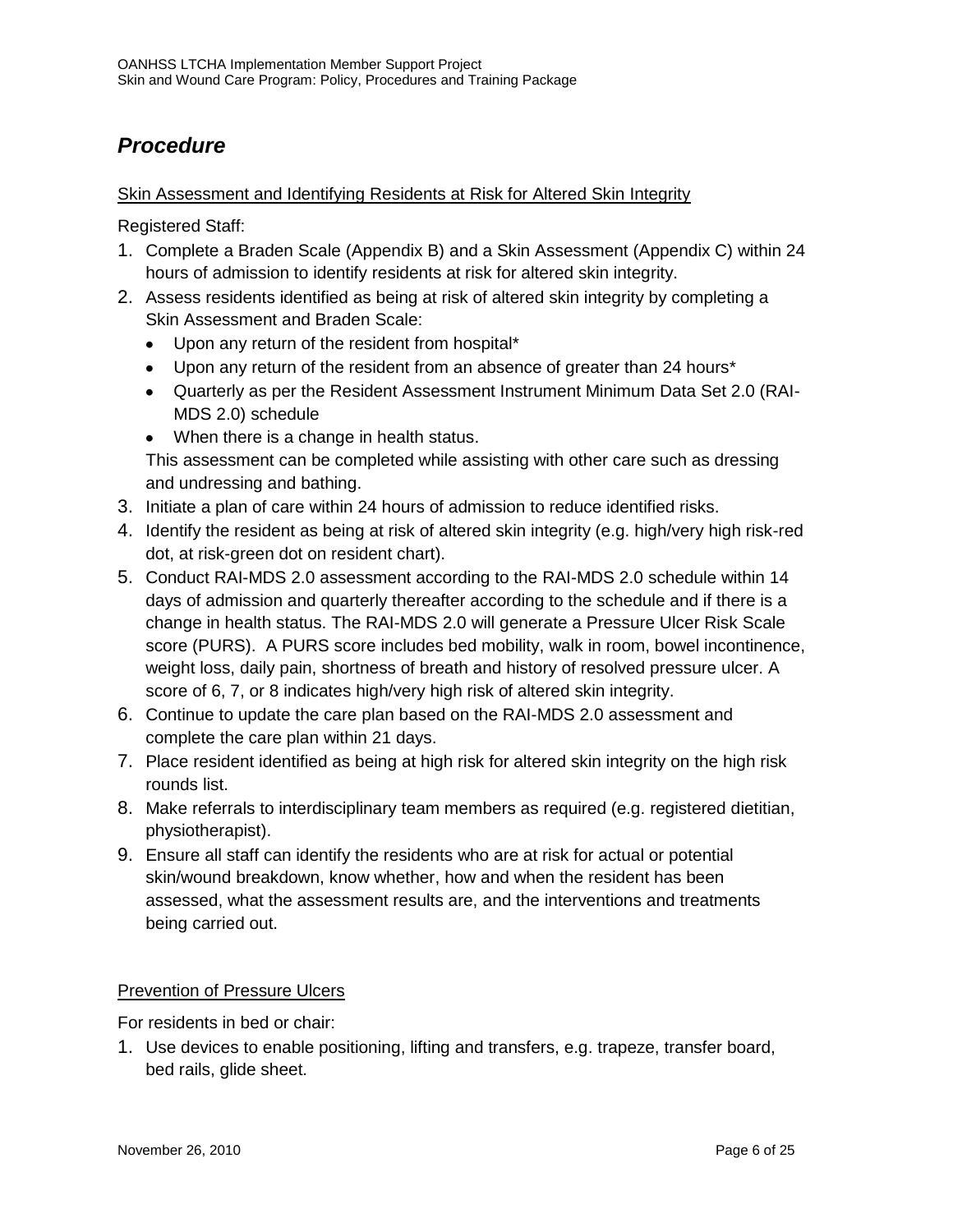# *Procedure*

#### Skin Assessment and Identifying Residents at Risk for Altered Skin Integrity

Registered Staff:

- 1. Complete a Braden Scale (Appendix B) and a Skin Assessment (Appendix C) within 24 hours of admission to identify residents at risk for altered skin integrity.
- 2. Assess residents identified as being at risk of altered skin integrity by completing a Skin Assessment and Braden Scale:
	- Upon any return of the resident from hospital\*
	- Upon any return of the resident from an absence of greater than 24 hours\*
	- Quarterly as per the Resident Assessment Instrument Minimum Data Set 2.0 (RAI-MDS 2.0) schedule
	- When there is a change in health status. This assessment can be completed while assisting with other care such as dressing and undressing and bathing.
- 3. Initiate a plan of care within 24 hours of admission to reduce identified risks.
- 4. Identify the resident as being at risk of altered skin integrity (e.g. high/very high risk-red dot, at risk-green dot on resident chart).
- 5. Conduct RAI-MDS 2.0 assessment according to the RAI-MDS 2.0 schedule within 14 days of admission and quarterly thereafter according to the schedule and if there is a change in health status. The RAI-MDS 2.0 will generate a Pressure Ulcer Risk Scale score (PURS). A PURS score includes bed mobility, walk in room, bowel incontinence, weight loss, daily pain, shortness of breath and history of resolved pressure ulcer. A score of 6, 7, or 8 indicates high/very high risk of altered skin integrity.
- 6. Continue to update the care plan based on the RAI-MDS 2.0 assessment and complete the care plan within 21 days.
- 7. Place resident identified as being at high risk for altered skin integrity on the high risk rounds list.
- 8. Make referrals to interdisciplinary team members as required (e.g. registered dietitian, physiotherapist).
- 9. Ensure all staff can identify the residents who are at risk for actual or potential skin/wound breakdown, know whether, how and when the resident has been assessed, what the assessment results are, and the interventions and treatments being carried out.

#### Prevention of Pressure Ulcers

For residents in bed or chair:

1. Use devices to enable positioning, lifting and transfers, e.g. trapeze, transfer board, bed rails, glide sheet.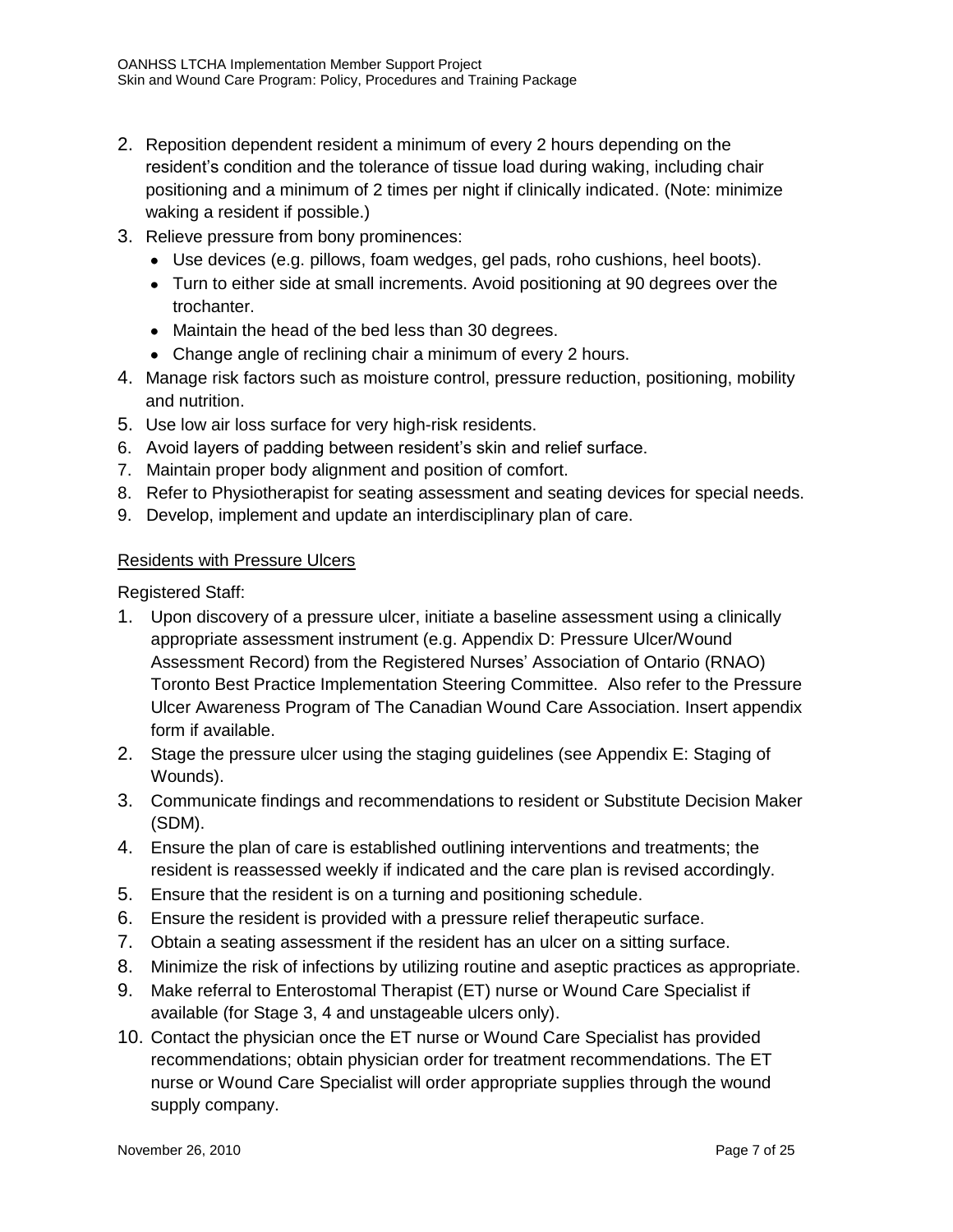- 2. Reposition dependent resident a minimum of every 2 hours depending on the resident's condition and the tolerance of tissue load during waking, including chair positioning and a minimum of 2 times per night if clinically indicated. (Note: minimize waking a resident if possible.)
- 3. Relieve pressure from bony prominences:
	- Use devices (e.g. pillows, foam wedges, gel pads, roho cushions, heel boots).
	- Turn to either side at small increments. Avoid positioning at 90 degrees over the trochanter.
	- Maintain the head of the bed less than 30 degrees.
	- Change angle of reclining chair a minimum of every 2 hours.
- 4. Manage risk factors such as moisture control, pressure reduction, positioning, mobility and nutrition.
- 5. Use low air loss surface for very high-risk residents.
- 6. Avoid layers of padding between resident's skin and relief surface.
- 7. Maintain proper body alignment and position of comfort.
- 8. Refer to Physiotherapist for seating assessment and seating devices for special needs.
- 9. Develop, implement and update an interdisciplinary plan of care.

#### Residents with Pressure Ulcers

Registered Staff:

- 1. Upon discovery of a pressure ulcer, initiate a baseline assessment using a clinically appropriate assessment instrument (e.g. Appendix D: Pressure Ulcer/Wound Assessment Record) from the Registered Nurses' Association of Ontario (RNAO) Toronto Best Practice Implementation Steering Committee. Also refer to the Pressure Ulcer Awareness Program of The Canadian Wound Care Association. Insert appendix form if available.
- 2. Stage the pressure ulcer using the staging guidelines (see Appendix E: Staging of Wounds).
- 3. Communicate findings and recommendations to resident or Substitute Decision Maker (SDM).
- 4. Ensure the plan of care is established outlining interventions and treatments; the resident is reassessed weekly if indicated and the care plan is revised accordingly.
- 5. Ensure that the resident is on a turning and positioning schedule.
- 6. Ensure the resident is provided with a pressure relief therapeutic surface.
- 7. Obtain a seating assessment if the resident has an ulcer on a sitting surface.
- 8. Minimize the risk of infections by utilizing routine and aseptic practices as appropriate.
- 9. Make referral to Enterostomal Therapist (ET) nurse or Wound Care Specialist if available (for Stage 3, 4 and unstageable ulcers only).
- 10. Contact the physician once the ET nurse or Wound Care Specialist has provided recommendations; obtain physician order for treatment recommendations. The ET nurse or Wound Care Specialist will order appropriate supplies through the wound supply company.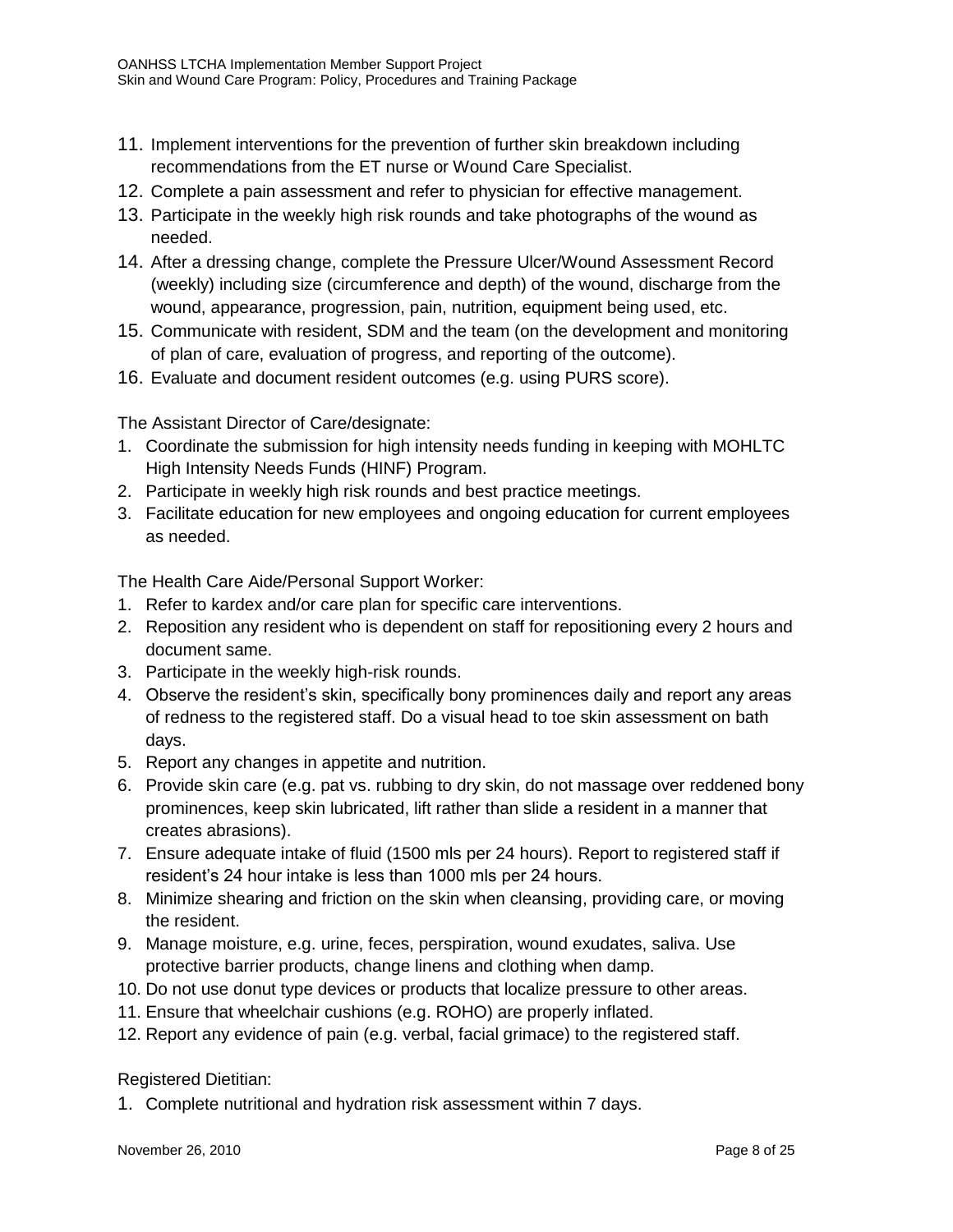- 11. Implement interventions for the prevention of further skin breakdown including recommendations from the ET nurse or Wound Care Specialist.
- 12. Complete a pain assessment and refer to physician for effective management.
- 13. Participate in the weekly high risk rounds and take photographs of the wound as needed.
- 14. After a dressing change, complete the Pressure Ulcer/Wound Assessment Record (weekly) including size (circumference and depth) of the wound, discharge from the wound, appearance, progression, pain, nutrition, equipment being used, etc.
- 15. Communicate with resident, SDM and the team (on the development and monitoring of plan of care, evaluation of progress, and reporting of the outcome).
- 16. Evaluate and document resident outcomes (e.g. using PURS score).

The Assistant Director of Care/designate:

- 1. Coordinate the submission for high intensity needs funding in keeping with MOHLTC High Intensity Needs Funds (HINF) Program.
- 2. Participate in weekly high risk rounds and best practice meetings.
- 3. Facilitate education for new employees and ongoing education for current employees as needed.

The Health Care Aide/Personal Support Worker:

- 1. Refer to kardex and/or care plan for specific care interventions.
- 2. Reposition any resident who is dependent on staff for repositioning every 2 hours and document same.
- 3. Participate in the weekly high-risk rounds.
- 4. Observe the resident's skin, specifically bony prominences daily and report any areas of redness to the registered staff. Do a visual head to toe skin assessment on bath days.
- 5. Report any changes in appetite and nutrition.
- 6. Provide skin care (e.g. pat vs. rubbing to dry skin, do not massage over reddened bony prominences, keep skin lubricated, lift rather than slide a resident in a manner that creates abrasions).
- 7. Ensure adequate intake of fluid (1500 mls per 24 hours). Report to registered staff if resident's 24 hour intake is less than 1000 mls per 24 hours.
- 8. Minimize shearing and friction on the skin when cleansing, providing care, or moving the resident.
- 9. Manage moisture, e.g. urine, feces, perspiration, wound exudates, saliva. Use protective barrier products, change linens and clothing when damp.
- 10. Do not use donut type devices or products that localize pressure to other areas.
- 11. Ensure that wheelchair cushions (e.g. ROHO) are properly inflated.
- 12. Report any evidence of pain (e.g. verbal, facial grimace) to the registered staff.

Registered Dietitian:

1. Complete nutritional and hydration risk assessment within 7 days.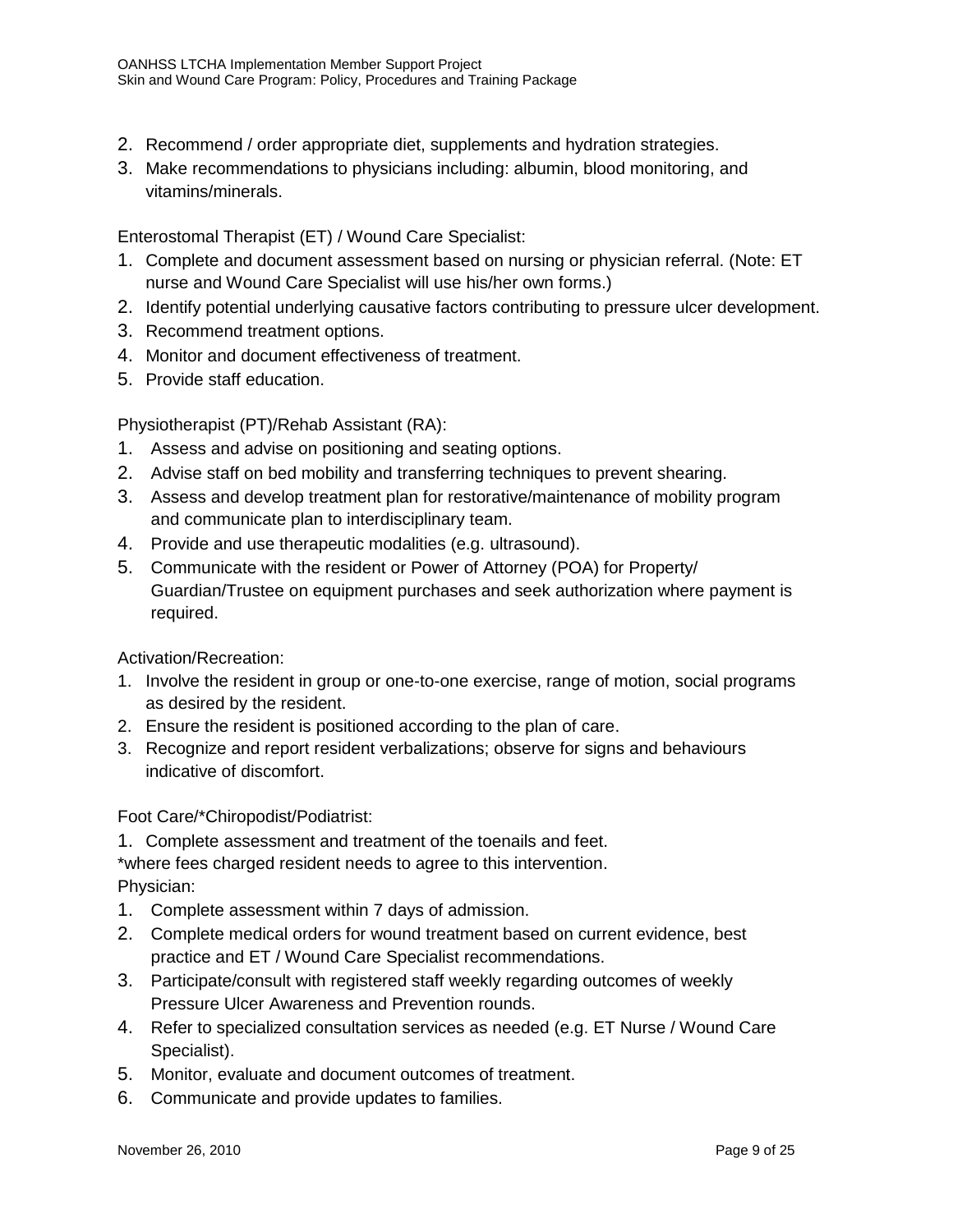- 2. Recommend / order appropriate diet, supplements and hydration strategies.
- 3. Make recommendations to physicians including: albumin, blood monitoring, and vitamins/minerals.

Enterostomal Therapist (ET) / Wound Care Specialist:

- 1. Complete and document assessment based on nursing or physician referral. (Note: ET nurse and Wound Care Specialist will use his/her own forms.)
- 2. Identify potential underlying causative factors contributing to pressure ulcer development.
- 3. Recommend treatment options.
- 4. Monitor and document effectiveness of treatment.
- 5. Provide staff education.

Physiotherapist (PT)/Rehab Assistant (RA):

- 1. Assess and advise on positioning and seating options.
- 2. Advise staff on bed mobility and transferring techniques to prevent shearing.
- 3. Assess and develop treatment plan for restorative/maintenance of mobility program and communicate plan to interdisciplinary team.
- 4. Provide and use therapeutic modalities (e.g. ultrasound).
- 5. Communicate with the resident or Power of Attorney (POA) for Property/ Guardian/Trustee on equipment purchases and seek authorization where payment is required.

Activation/Recreation:

- 1. Involve the resident in group or one-to-one exercise, range of motion, social programs as desired by the resident.
- 2. Ensure the resident is positioned according to the plan of care.
- 3. Recognize and report resident verbalizations; observe for signs and behaviours indicative of discomfort.

Foot Care/\*Chiropodist/Podiatrist:

1. Complete assessment and treatment of the toenails and feet.

\*where fees charged resident needs to agree to this intervention.

Physician:

- 1. Complete assessment within 7 days of admission.
- 2. Complete medical orders for wound treatment based on current evidence, best practice and ET / Wound Care Specialist recommendations.
- 3. Participate/consult with registered staff weekly regarding outcomes of weekly Pressure Ulcer Awareness and Prevention rounds.
- 4. Refer to specialized consultation services as needed (e.g. ET Nurse / Wound Care Specialist).
- 5. Monitor, evaluate and document outcomes of treatment.
- 6. Communicate and provide updates to families.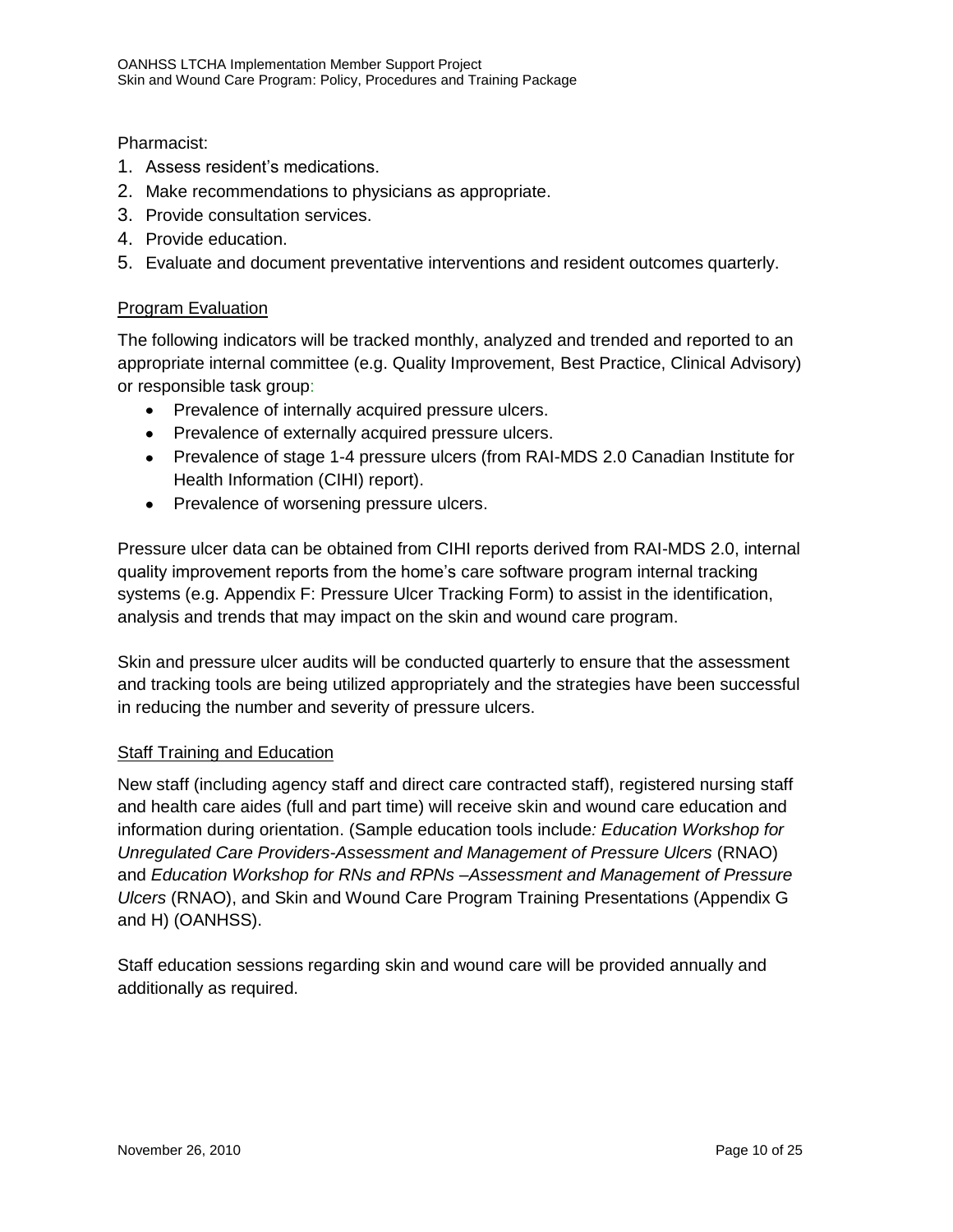Pharmacist:

- 1. Assess resident's medications.
- 2. Make recommendations to physicians as appropriate.
- 3. Provide consultation services.
- 4. Provide education.
- 5. Evaluate and document preventative interventions and resident outcomes quarterly.

#### Program Evaluation

The following indicators will be tracked monthly, analyzed and trended and reported to an appropriate internal committee (e.g. Quality Improvement, Best Practice, Clinical Advisory) or responsible task group:

- Prevalence of internally acquired pressure ulcers.
- Prevalence of externally acquired pressure ulcers.
- Prevalence of stage 1-4 pressure ulcers (from RAI-MDS 2.0 Canadian Institute for Health Information (CIHI) report).
- Prevalence of worsening pressure ulcers.

Pressure ulcer data can be obtained from CIHI reports derived from RAI-MDS 2.0, internal quality improvement reports from the home's care software program internal tracking systems (e.g. Appendix F: Pressure Ulcer Tracking Form) to assist in the identification, analysis and trends that may impact on the skin and wound care program.

Skin and pressure ulcer audits will be conducted quarterly to ensure that the assessment and tracking tools are being utilized appropriately and the strategies have been successful in reducing the number and severity of pressure ulcers.

#### **Staff Training and Education**

New staff (including agency staff and direct care contracted staff), registered nursing staff and health care aides (full and part time) will receive skin and wound care education and information during orientation. (Sample education tools include*: Education Workshop for Unregulated Care Providers-Assessment and Management of Pressure Ulcers* (RNAO) and *Education Workshop for RNs and RPNs –Assessment and Management of Pressure Ulcers* (RNAO), and Skin and Wound Care Program Training Presentations (Appendix G and H) (OANHSS).

Staff education sessions regarding skin and wound care will be provided annually and additionally as required.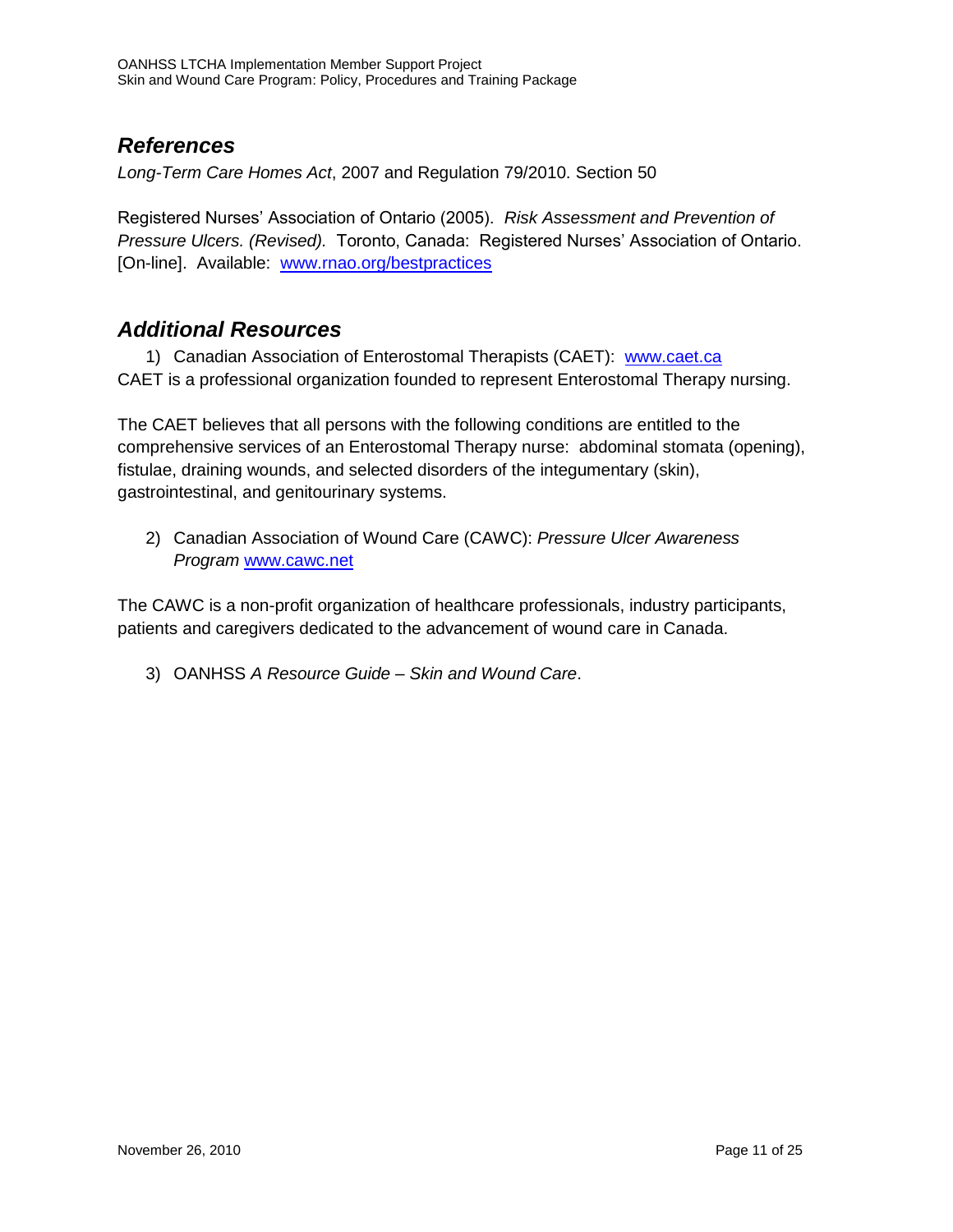### *References*

*Long-Term Care Homes Act*, 2007 and Regulation 79/2010. Section 50

Registered Nurses' Association of Ontario (2005). *Risk Assessment and Prevention of Pressure Ulcers. (Revised).* Toronto, Canada: Registered Nurses' Association of Ontario. [On-line]. Available: [www.rnao.org/bestpractices](http://www.rnao.org/bestpractices)

### *Additional Resources*

1) Canadian Association of Enterostomal Therapists (CAET): [www.caet.ca](http://www.caet.ca/) CAET is a professional organization founded to represent Enterostomal Therapy nursing.

The CAET believes that all persons with the following conditions are entitled to the comprehensive services of an Enterostomal Therapy nurse: abdominal stomata (opening), fistulae, draining wounds, and selected disorders of the integumentary (skin), gastrointestinal, and genitourinary systems.

2) Canadian Association of Wound Care (CAWC): *Pressure Ulcer Awareness Program* [www.cawc.net](http://www.cawc.net/)

The CAWC is a non-profit organization of healthcare professionals, industry participants, patients and caregivers dedicated to the advancement of wound care in Canada.

3) OANHSS *A Resource Guide – Skin and Wound Care*.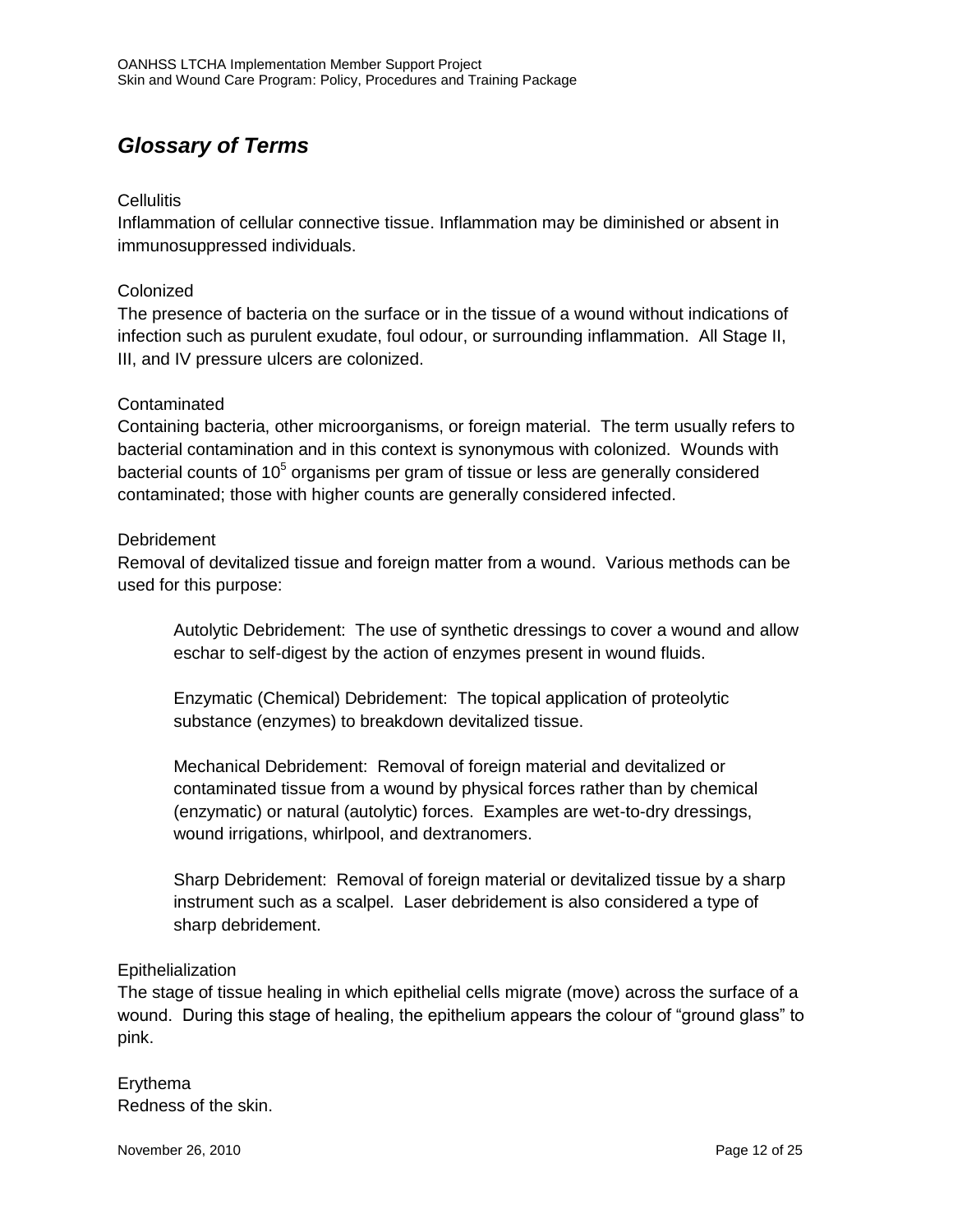### *Glossary of Terms*

#### Cellulitis

Inflammation of cellular connective tissue. Inflammation may be diminished or absent in immunosuppressed individuals.

#### Colonized

The presence of bacteria on the surface or in the tissue of a wound without indications of infection such as purulent exudate, foul odour, or surrounding inflammation. All Stage II, III, and IV pressure ulcers are colonized.

#### Contaminated

Containing bacteria, other microorganisms, or foreign material. The term usually refers to bacterial contamination and in this context is synonymous with colonized. Wounds with bacterial counts of 10<sup>5</sup> organisms per gram of tissue or less are generally considered contaminated; those with higher counts are generally considered infected.

#### Debridement

Removal of devitalized tissue and foreign matter from a wound. Various methods can be used for this purpose:

Autolytic Debridement: The use of synthetic dressings to cover a wound and allow eschar to self-digest by the action of enzymes present in wound fluids.

Enzymatic (Chemical) Debridement: The topical application of proteolytic substance (enzymes) to breakdown devitalized tissue.

Mechanical Debridement: Removal of foreign material and devitalized or contaminated tissue from a wound by physical forces rather than by chemical (enzymatic) or natural (autolytic) forces. Examples are wet-to-dry dressings, wound irrigations, whirlpool, and dextranomers.

Sharp Debridement: Removal of foreign material or devitalized tissue by a sharp instrument such as a scalpel. Laser debridement is also considered a type of sharp debridement.

#### **Epithelialization**

The stage of tissue healing in which epithelial cells migrate (move) across the surface of a wound. During this stage of healing, the epithelium appears the colour of "ground glass" to pink.

Erythema Redness of the skin.

November 26, 2010 **Page 12 of 25**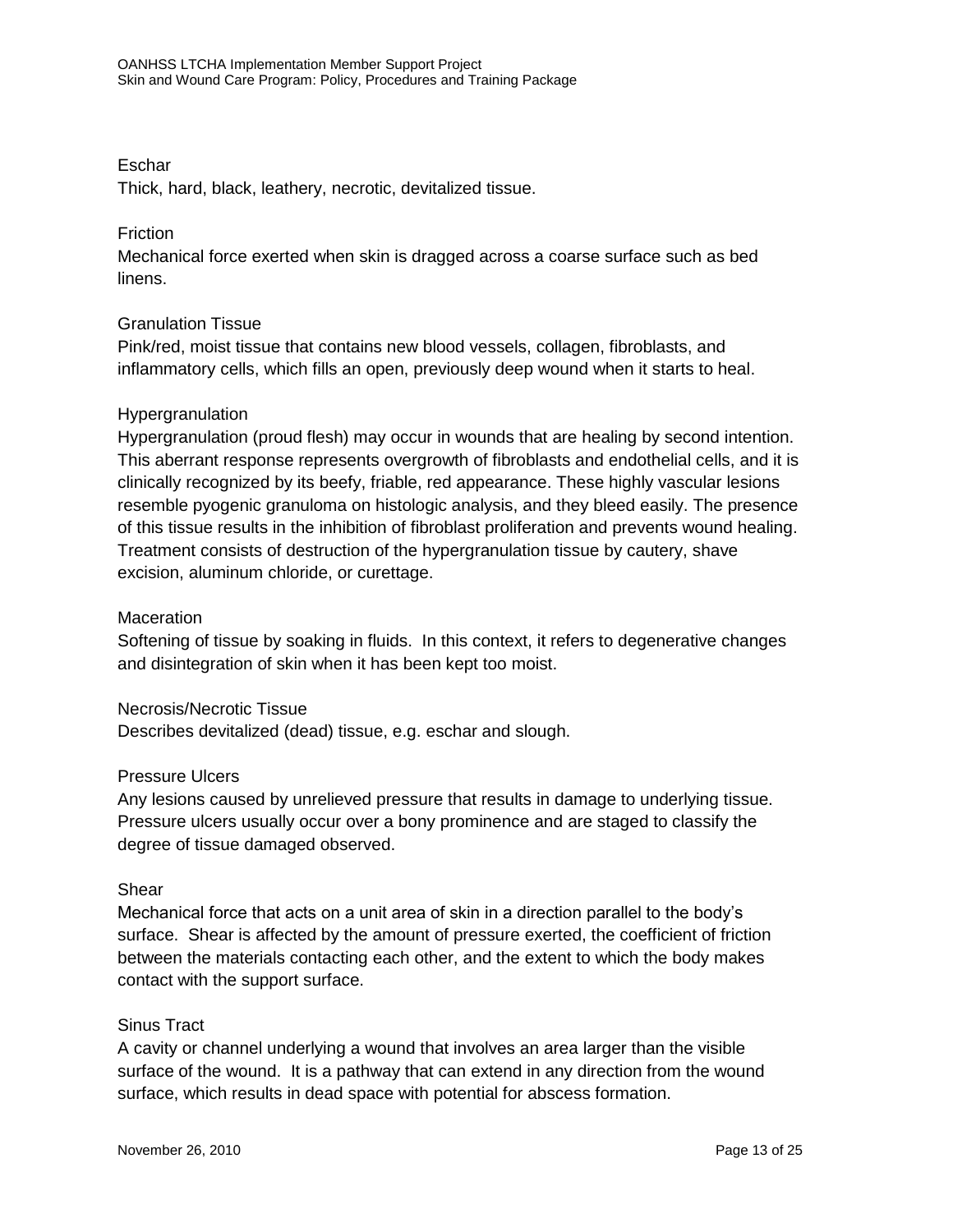#### Eschar

Thick, hard, black, leathery, necrotic, devitalized tissue.

#### **Friction**

Mechanical force exerted when skin is dragged across a coarse surface such as bed linens.

#### Granulation Tissue

Pink/red, moist tissue that contains new blood vessels, collagen, fibroblasts, and inflammatory cells, which fills an open, previously deep wound when it starts to heal.

#### Hypergranulation

Hypergranulation (proud flesh) may occur in wounds that are healing by second intention. This aberrant response represents overgrowth of fibroblasts and endothelial cells, and it is clinically recognized by its beefy, friable, red appearance. These highly vascular lesions resemble pyogenic granuloma on histologic analysis, and they bleed easily. The presence of this tissue results in the inhibition of fibroblast proliferation and prevents wound healing. Treatment consists of destruction of the hypergranulation tissue by cautery, shave excision, aluminum chloride, or curettage.

#### **Maceration**

Softening of tissue by soaking in fluids. In this context, it refers to degenerative changes and disintegration of skin when it has been kept too moist.

#### Necrosis/Necrotic Tissue

Describes devitalized (dead) tissue, e.g. eschar and slough.

#### Pressure Ulcers

Any lesions caused by unrelieved pressure that results in damage to underlying tissue. Pressure ulcers usually occur over a bony prominence and are staged to classify the degree of tissue damaged observed.

#### Shear

Mechanical force that acts on a unit area of skin in a direction parallel to the body's surface. Shear is affected by the amount of pressure exerted, the coefficient of friction between the materials contacting each other, and the extent to which the body makes contact with the support surface.

#### Sinus Tract

A cavity or channel underlying a wound that involves an area larger than the visible surface of the wound. It is a pathway that can extend in any direction from the wound surface, which results in dead space with potential for abscess formation.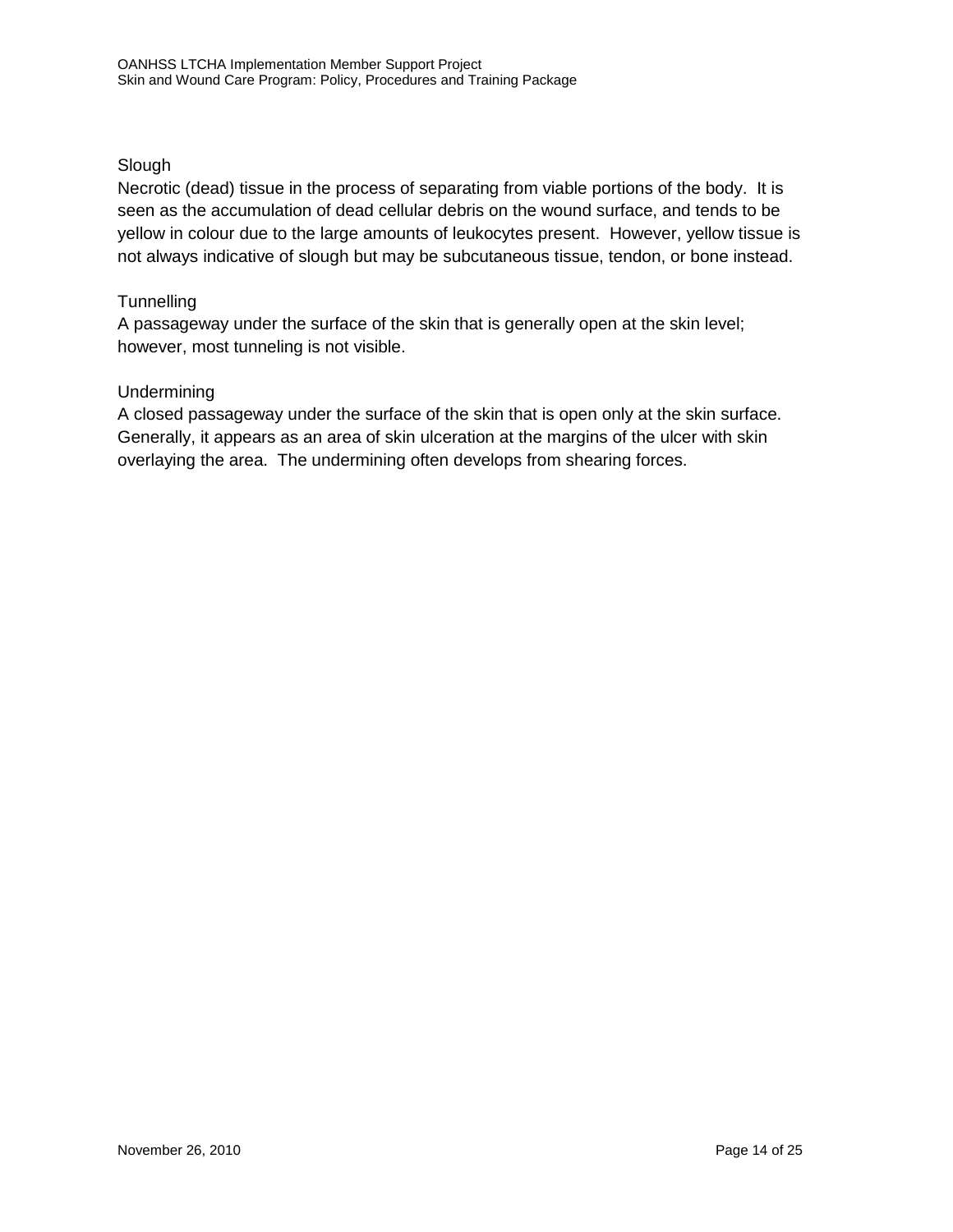#### Slough

Necrotic (dead) tissue in the process of separating from viable portions of the body. It is seen as the accumulation of dead cellular debris on the wound surface, and tends to be yellow in colour due to the large amounts of leukocytes present. However, yellow tissue is not always indicative of slough but may be subcutaneous tissue, tendon, or bone instead.

#### **Tunnelling**

A passageway under the surface of the skin that is generally open at the skin level; however, most tunneling is not visible.

#### Undermining

A closed passageway under the surface of the skin that is open only at the skin surface. Generally, it appears as an area of skin ulceration at the margins of the ulcer with skin overlaying the area. The undermining often develops from shearing forces.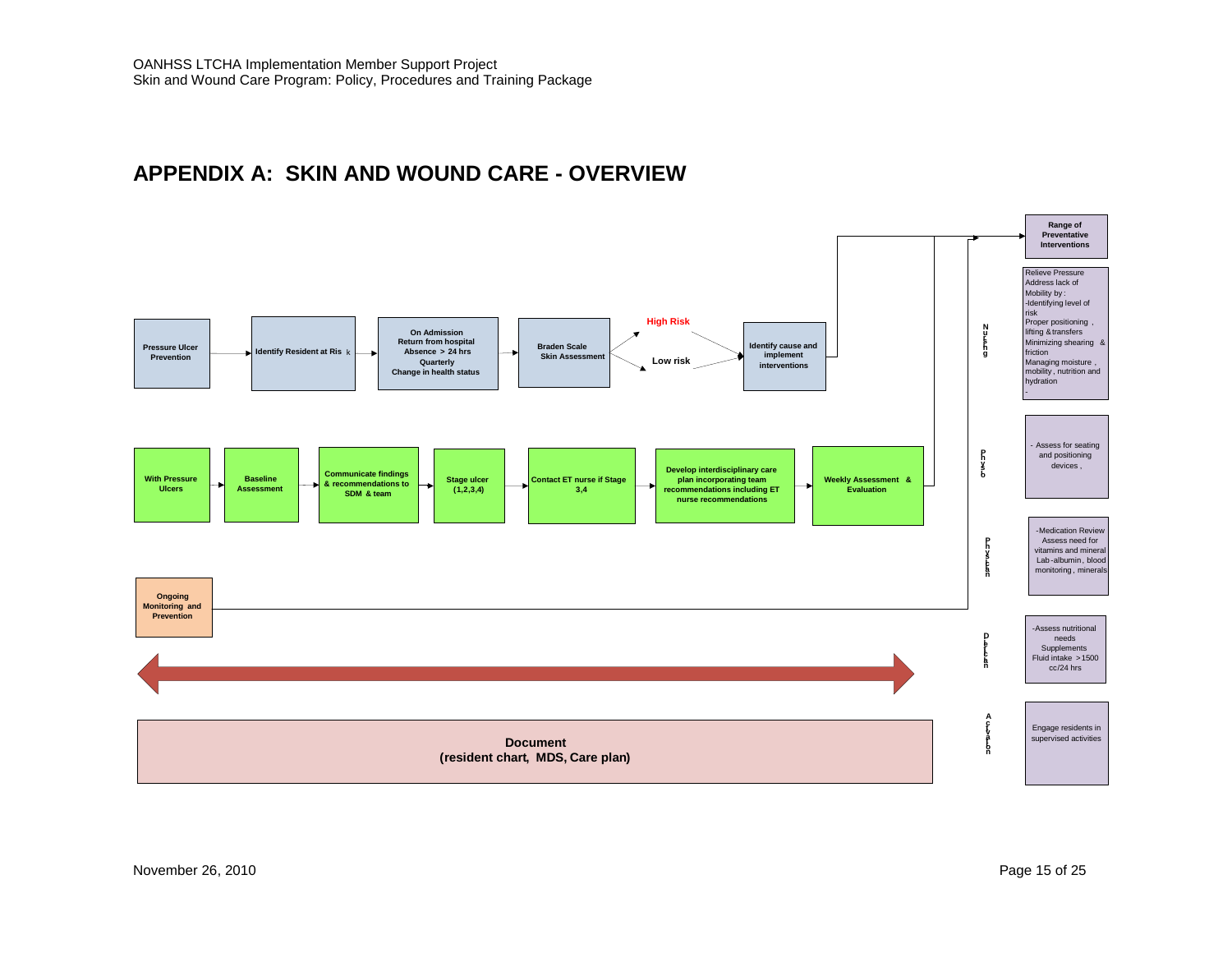### **APPENDIX A: SKIN AND WOUND CARE - OVERVIEW**

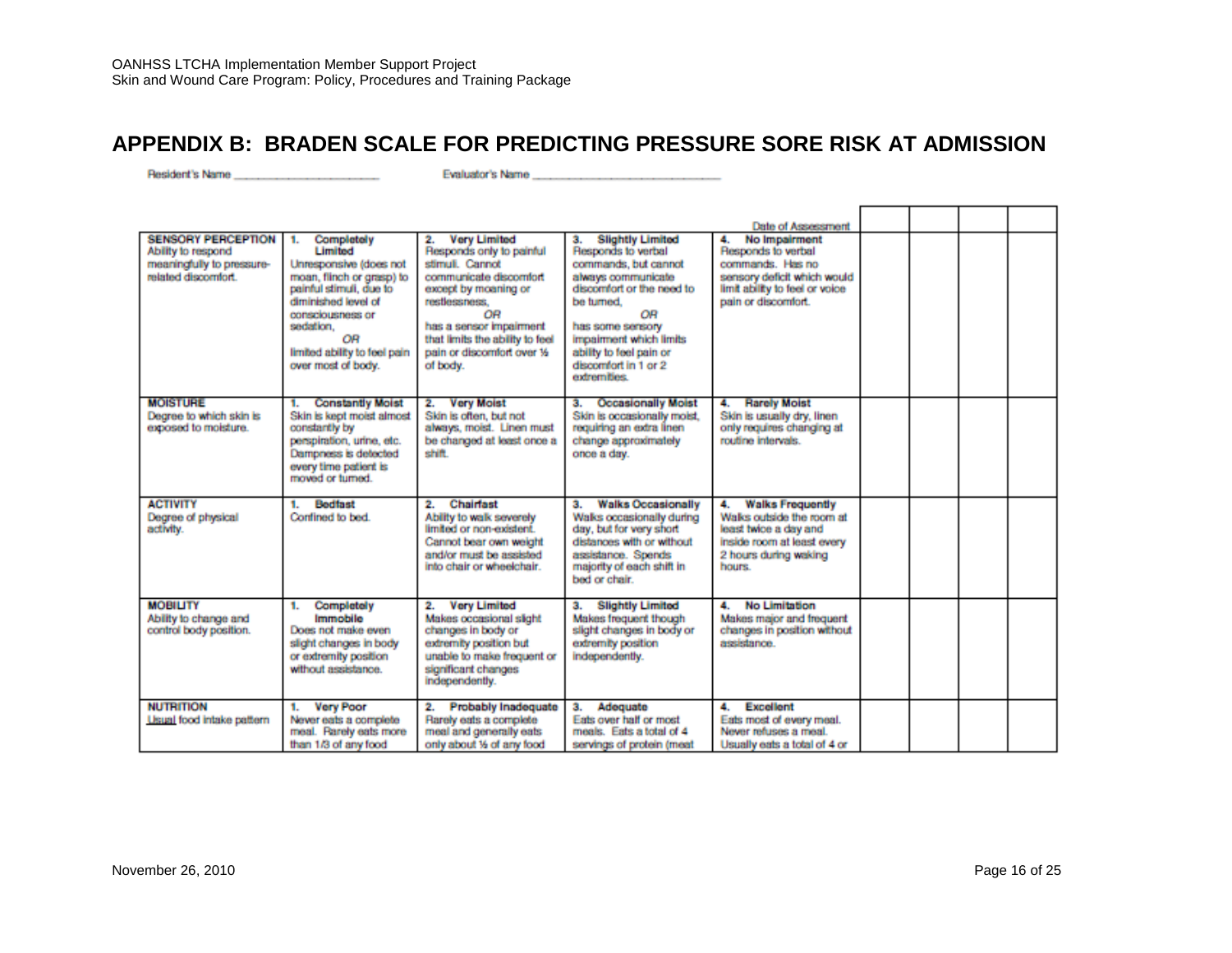### **APPENDIX B: BRADEN SCALE FOR PREDICTING PRESSURE SORE RISK AT ADMISSION**

|                                                                                                     |                                                                                                                                                                                                                                          |                                                                                                                                                                                                                                                           |                                                                                                                                                                                                                                                                      | Date of Assessment                                                                                                                                    |  |  |
|-----------------------------------------------------------------------------------------------------|------------------------------------------------------------------------------------------------------------------------------------------------------------------------------------------------------------------------------------------|-----------------------------------------------------------------------------------------------------------------------------------------------------------------------------------------------------------------------------------------------------------|----------------------------------------------------------------------------------------------------------------------------------------------------------------------------------------------------------------------------------------------------------------------|-------------------------------------------------------------------------------------------------------------------------------------------------------|--|--|
| <b>SENSORY PERCEPTION</b><br>Ability to respond<br>meaningfully to pressure-<br>related discomfort. | Completely<br>1.<br><b>Limited</b><br>Unresponsive (does not<br>moan, flinch or grasp) to<br>painful stimuli, due to<br>diminished level of<br>consciousness or<br>sedation.<br>OR<br>limited ability to feel pain<br>over most of body. | <b>Very Limited</b><br>2.<br>Responds only to painful<br>stimuli. Cannot<br>communicate discomfort<br>except by moaning or<br>restlessness.<br>0R<br>has a sensor impairment<br>that limits the ability to feel<br>pain or discomfort over 16<br>of body. | <b>Slightly Limited</b><br>з.<br>Responds to verbal<br>commands, but cannot<br>always communicate<br>discomfort or the need to<br>be turned.<br>ΟR<br>has some sensory<br>impairment which limits<br>ability to feel pain or<br>discomfort in 1 or 2<br>extremities. | No Impairment<br>4.<br>Responds to verbal<br>commands. Has no<br>sensory deficit which would<br>limit ability to feel or voice<br>pain or discomfort. |  |  |
| <b>MOISTURE</b><br>Degree to which skin is<br>exposed to moisture.                                  | <b>Constantly Moist</b><br>1.<br>Skin is kept moist almost<br>constantly by<br>perspiration, urine, etc.<br>Dampness is detected<br>every time patient is<br>moved or turned.                                                            | <b>Very Moist</b><br>2.<br>Skin is often, but not<br>always, moist. Linen must<br>be changed at least once a<br>shift.                                                                                                                                    | <b>Occasionally Moist</b><br>з.<br>Skin is cocasionally moist.<br>reguiring an extra linen<br>change approximately<br>once a day.                                                                                                                                    | <b>Rarely Moist</b><br>4.<br>Skin is usually dry, linen<br>only requires changing at<br>routine intervals.                                            |  |  |
| <b>ACTIVITY</b><br>Degree of physical<br>activity.                                                  | <b>Bedfast</b><br>1.<br>Confined to bed                                                                                                                                                                                                  | <b>Chairfast</b><br>2.<br>Ability to walk severely<br>limited or non-existent<br>Cannot bear own weight<br>and/or must be assisted<br>into chair or wheelchair.                                                                                           | <b>Walks Occasionally</b><br>з.<br>Walks occasionally during<br>day, but for very short<br>distances with or without<br>assistance. Spends<br>majority of each shift in<br>bed or chair.                                                                             | <b>Walks Frequently</b><br>4.<br>Walks outside the room at<br>least twice a day and<br>inside room at least every<br>2 hours during waking<br>hours.  |  |  |
| <b>MOBILITY</b><br>Ability to change and<br>control body position.                                  | Completely<br>1.<br>Immobile<br>Does not make even<br>slight changes in body<br>or extremity position<br>without assistance.                                                                                                             | <b>Very Limited</b><br>2.<br>Makes occasional slight<br>changes in body or<br>extremity position but<br>unable to make frequent or<br>significant changes<br>independently.                                                                               | <b>Slightly Limited</b><br>з.<br>Makes frequent though<br>slight changes in body or<br>extremity position<br>independently.                                                                                                                                          | <b>No Limitation</b><br>4.<br>Makes major and frequent<br>changes in position without<br>assistance.                                                  |  |  |
| <b>NUTRITION</b><br><b>Usual</b> food intake pattern                                                | <b>Very Poor</b><br>п.<br>Never eats a complete<br>meal. Rarely eats more<br>than 1/3 of any food                                                                                                                                        | Probably Inadequate<br>2.<br>Rarely eats a complete<br>meal and generally eats<br>only about 16 of any food                                                                                                                                               | Adequate<br>з.<br>Eats over half or most<br>meals. Eats a total of 4<br>servings of protein (meat                                                                                                                                                                    | <b>Excellent</b><br>4.<br>Eats most of every meal.<br>Never refuses a meal.<br>Usually eats a total of 4 or                                           |  |  |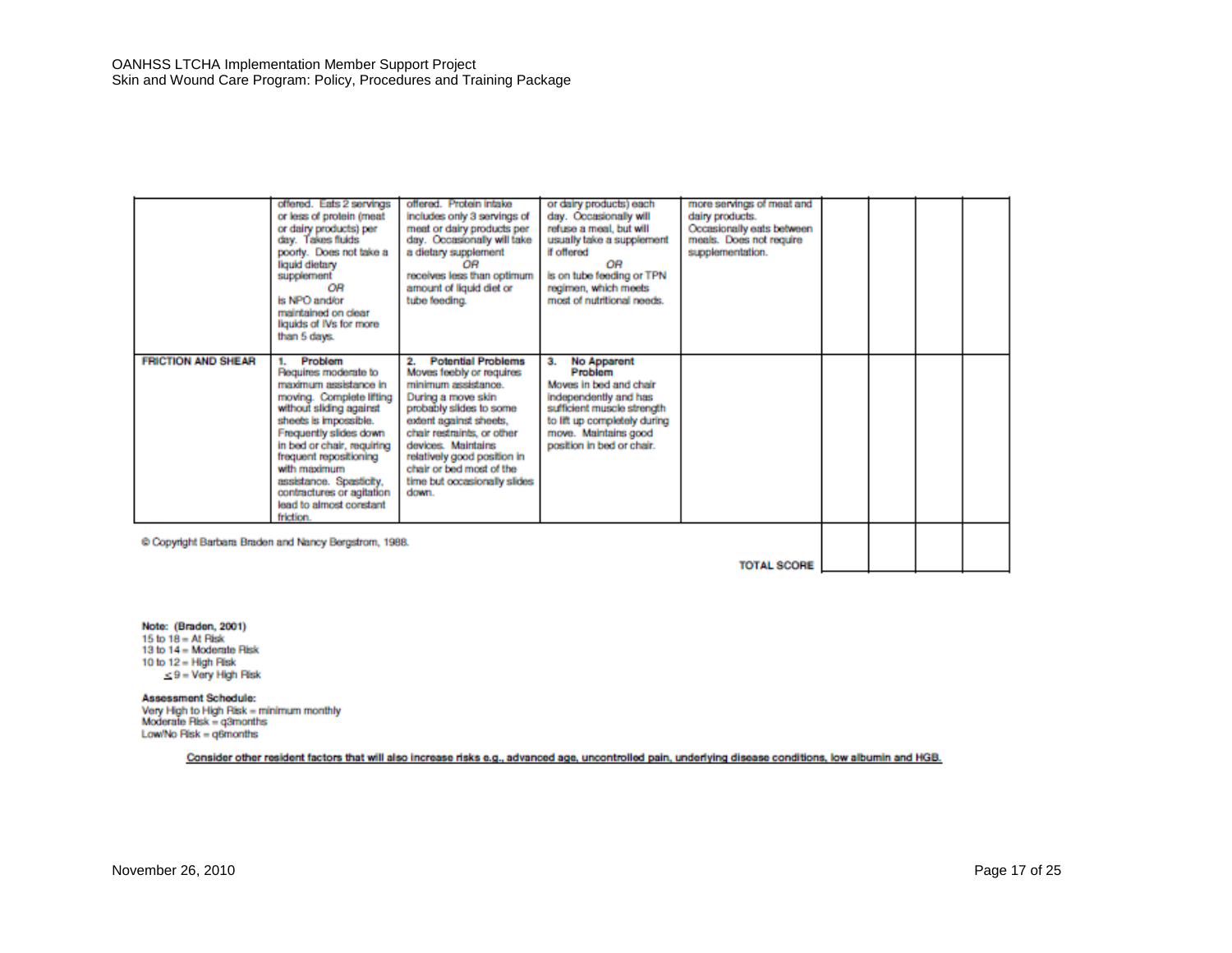|                                                       | offered. Eats 2 servings<br>or less of protein (meat<br>or dairy products) per<br>day. Takes fluids<br>poorly. Does not take a<br>liquid dietary<br>supplement<br>OR<br>is NPO and/or<br>maintained on clear<br>liquids of IVs for more<br>than 5 days.                                                                                    | offered. Protein intake<br>includes only 3 servings of<br>meat or dairy products per<br>day. Occasionally will take<br>a dietary supplement<br>ΩR<br>receives less than optimum<br>amount of liquid diet or<br>tube feeding.                                                                                     | or dairy products) each<br>day. Occasionally will<br>refuse a meal, but will<br>usually take a supplement<br>if offered<br>OR<br>is on tube feeding or TPN<br>regimen, which meets<br>most of nutritional needs. | more servings of meat and<br>dairy products.<br>Occasionally eats between<br>meals. Does not require<br>supplementation. |  |  |
|-------------------------------------------------------|--------------------------------------------------------------------------------------------------------------------------------------------------------------------------------------------------------------------------------------------------------------------------------------------------------------------------------------------|------------------------------------------------------------------------------------------------------------------------------------------------------------------------------------------------------------------------------------------------------------------------------------------------------------------|------------------------------------------------------------------------------------------------------------------------------------------------------------------------------------------------------------------|--------------------------------------------------------------------------------------------------------------------------|--|--|
| <b>FRICTION AND SHEAR</b>                             | Problem<br>Requires moderate to<br>maximum assistance in<br>moving. Complete lifting<br>without sliding against<br>sheets is impossible.<br>Frequently slides down<br>in bed or chair, requiring<br>frequent repositioning<br>with maximum<br>assistance. Spasticity,<br>contractures or agitation<br>lead to almost constant<br>friction. | <b>Potential Problems</b><br>Moves feebly or requires<br>minimum assistance.<br>During a move skin<br>probably slides to some<br>extent against sheets.<br>chair restraints, or other<br>devices. Maintains:<br>relatively good position in<br>chair or bed most of the<br>time but occasionally slides<br>down. | <b>No Apparent</b><br>Problem<br>Moves in bed and chair<br>independently and has<br>sufficient muscle strength<br>to lift up completely during<br>move. Maintains good<br>position in bed or chair.              |                                                                                                                          |  |  |
| C Copyright Barbara Braden and Nancy Bergstrom, 1988. |                                                                                                                                                                                                                                                                                                                                            |                                                                                                                                                                                                                                                                                                                  |                                                                                                                                                                                                                  |                                                                                                                          |  |  |

**TOTAL SCORE** 

Note: (Braden, 2001) 15 to  $18 = At$  Risk<br>13 to  $14 =$  Moderate Risk 10 to  $12 =$  High Risk  $<$  9 = Very High Risk

Assessment Schedule:

Very High to High Risk = minimum monthly<br>Moderate Risk = q3months Low/No Risk = q6months

Consider other resident factors that will also increase risks e.g., advanced age, uncontrolled pain, underlying disease conditions, low albumin and HGB.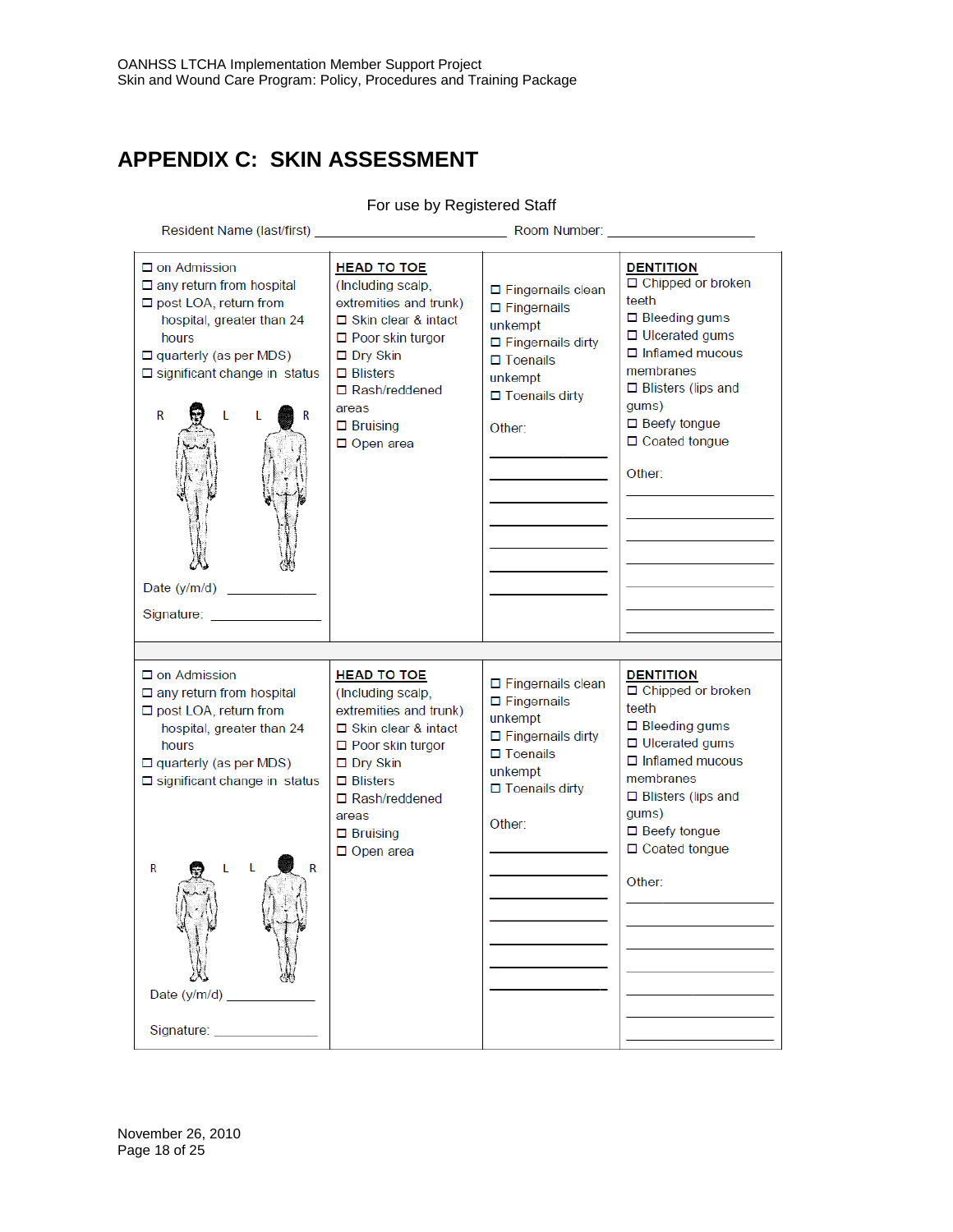# **APPENDIX C: SKIN ASSESSMENT**

For use by Registered Staff

November 26, 2010 Page 18 of 25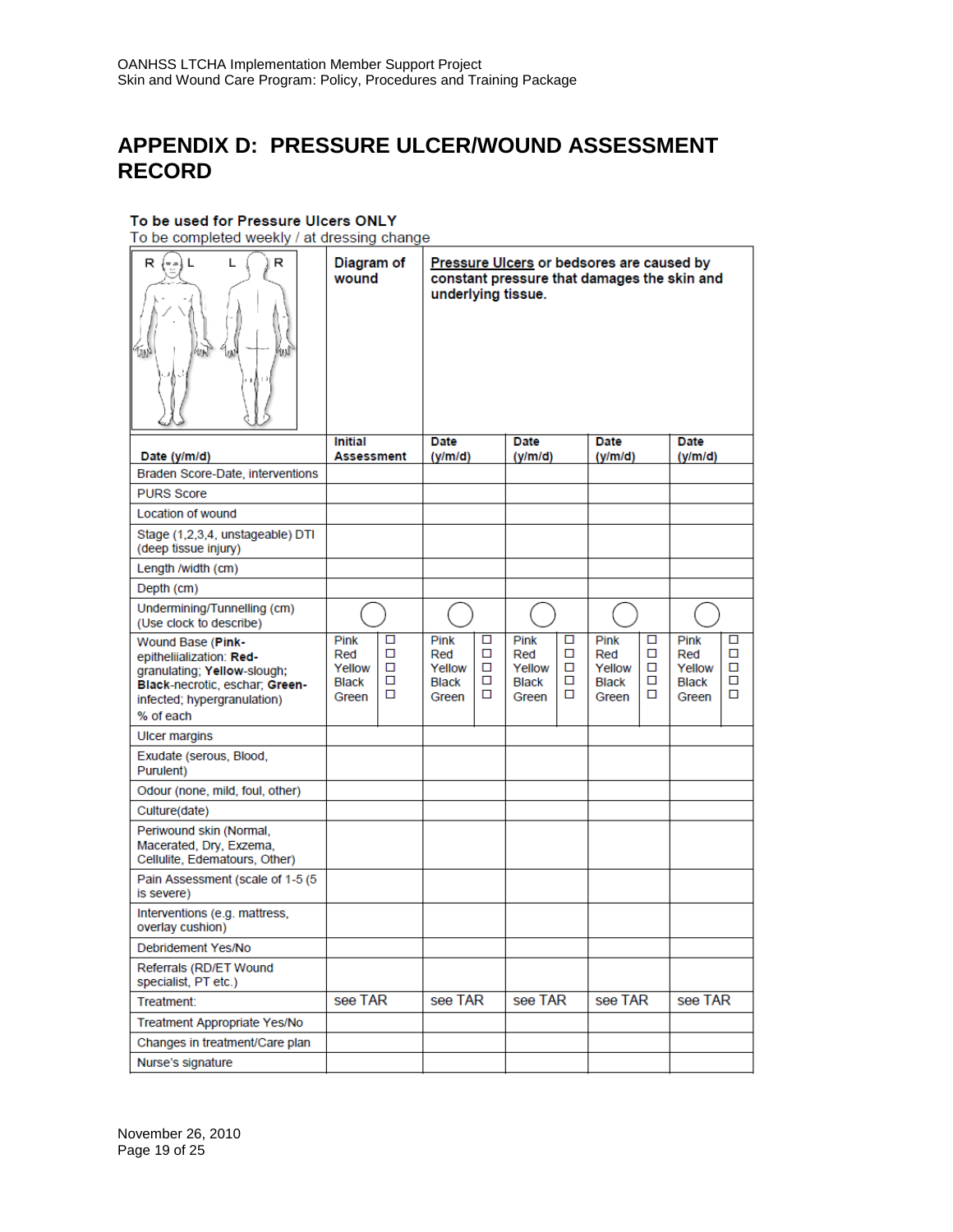### **APPENDIX D: PRESSURE ULCER/WOUND ASSESSMENT RECORD**

#### To be used for Pressure Ulcers ONLY

To be completed weekly / at dressing change

| R<br>R<br>L<br>$=$ $\approx$<br>m<br>ИŃ                                                                                                                    | Diagram of<br>wound                            |                       | Pressure Ulcers or bedsores are caused by<br>constant pressure that damages the skin and<br>underlying tissue. |                       |                                                |                       |                                                |                       |                                         |                       |
|------------------------------------------------------------------------------------------------------------------------------------------------------------|------------------------------------------------|-----------------------|----------------------------------------------------------------------------------------------------------------|-----------------------|------------------------------------------------|-----------------------|------------------------------------------------|-----------------------|-----------------------------------------|-----------------------|
|                                                                                                                                                            | Initial                                        |                       | Date                                                                                                           |                       | Date                                           |                       | <b>Date</b>                                    |                       | Date                                    |                       |
| Date (y/m/d)<br>Braden Score-Date, interventions                                                                                                           | Assessment                                     |                       | (y/m/d)                                                                                                        |                       | (y/m/d)                                        |                       | (y/m/d)                                        |                       | (y/m/d)                                 |                       |
| <b>PURS Score</b>                                                                                                                                          |                                                |                       |                                                                                                                |                       |                                                |                       |                                                |                       |                                         |                       |
| Location of wound                                                                                                                                          |                                                |                       |                                                                                                                |                       |                                                |                       |                                                |                       |                                         |                       |
| Stage (1,2,3,4, unstageable) DTI<br>(deep tissue injury)                                                                                                   |                                                |                       |                                                                                                                |                       |                                                |                       |                                                |                       |                                         |                       |
| Length /width (cm)                                                                                                                                         |                                                |                       |                                                                                                                |                       |                                                |                       |                                                |                       |                                         |                       |
| Depth (cm)                                                                                                                                                 |                                                |                       |                                                                                                                |                       |                                                |                       |                                                |                       |                                         |                       |
| Undermining/Tunnelling (cm)<br>(Use clock to describe)                                                                                                     |                                                |                       |                                                                                                                |                       |                                                |                       |                                                |                       |                                         |                       |
| Wound Base (Pink-<br>epitheliialization: Red-<br>granulating; Yellow-slough;<br>Black-necrotic, eschar; Green-<br>infected; hypergranulation)<br>% of each | Pink<br>Red<br>Yellow<br><b>Black</b><br>Green | ◻<br>□<br>п<br>◻<br>◻ | Pink<br>Red<br>Yellow<br><b>Black</b><br>Green                                                                 | ◻<br>□<br>п<br>□<br>◻ | Pink<br>Red<br>Yellow<br><b>Black</b><br>Green | □<br>□<br>п<br>□<br>◻ | Pink<br>Red<br>Yellow<br><b>Black</b><br>Green | ◻<br>□<br>п<br>◻<br>◻ | Pink<br>Red<br>Yellow<br>Black<br>Green | ◻<br>□<br>п<br>◻<br>□ |
| <b>Ulcer margins</b>                                                                                                                                       |                                                |                       |                                                                                                                |                       |                                                |                       |                                                |                       |                                         |                       |
| Exudate (serous, Blood,<br>Purulent)                                                                                                                       |                                                |                       |                                                                                                                |                       |                                                |                       |                                                |                       |                                         |                       |
| Odour (none, mild, foul, other)                                                                                                                            |                                                |                       |                                                                                                                |                       |                                                |                       |                                                |                       |                                         |                       |
| Culture(date)                                                                                                                                              |                                                |                       |                                                                                                                |                       |                                                |                       |                                                |                       |                                         |                       |
| Periwound skin (Normal,<br>Macerated, Dry, Exzema,<br>Cellulite, Edematours, Other)                                                                        |                                                |                       |                                                                                                                |                       |                                                |                       |                                                |                       |                                         |                       |
| Pain Assessment (scale of 1-5 (5)<br>is severe)                                                                                                            |                                                |                       |                                                                                                                |                       |                                                |                       |                                                |                       |                                         |                       |
| Interventions (e.g. mattress,<br>overlay cushion)                                                                                                          |                                                |                       |                                                                                                                |                       |                                                |                       |                                                |                       |                                         |                       |
| Debridement Yes/No                                                                                                                                         |                                                |                       |                                                                                                                |                       |                                                |                       |                                                |                       |                                         |                       |
| Referrals (RD/ET Wound<br>specialist, PT etc.)                                                                                                             |                                                |                       |                                                                                                                |                       |                                                |                       |                                                |                       |                                         |                       |
| Treatment:                                                                                                                                                 | see TAR                                        |                       | see TAR                                                                                                        |                       | see TAR                                        | see TAR               |                                                |                       | see TAR                                 |                       |
| Treatment Appropriate Yes/No                                                                                                                               |                                                |                       |                                                                                                                |                       |                                                |                       |                                                |                       |                                         |                       |
| Changes in treatment/Care plan                                                                                                                             |                                                |                       |                                                                                                                |                       |                                                |                       |                                                |                       |                                         |                       |
| Nurse's signature                                                                                                                                          |                                                |                       |                                                                                                                |                       |                                                |                       |                                                |                       |                                         |                       |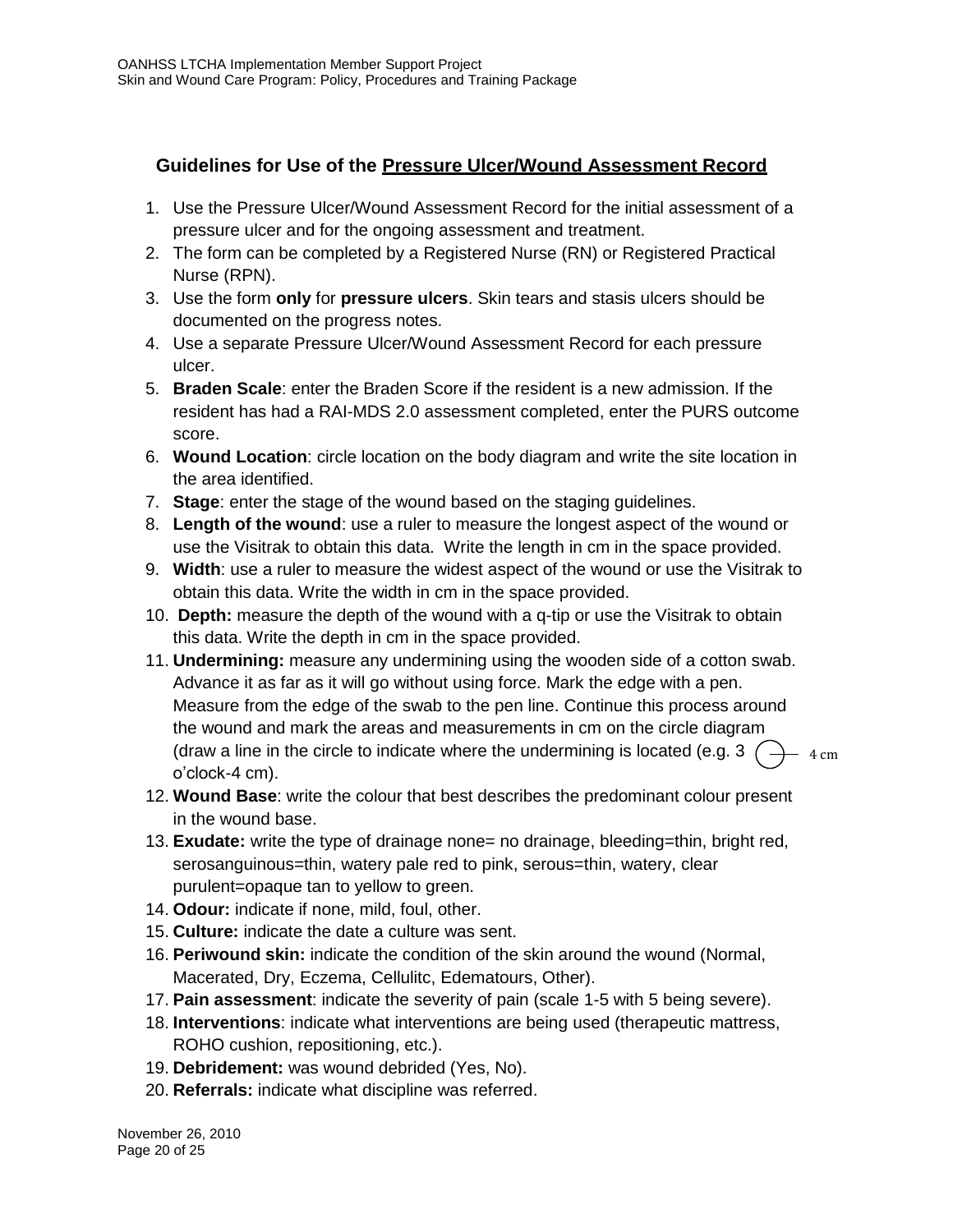### **Guidelines for Use of the Pressure Ulcer/Wound Assessment Record**

- 1. Use the Pressure Ulcer/Wound Assessment Record for the initial assessment of a pressure ulcer and for the ongoing assessment and treatment.
- 2. The form can be completed by a Registered Nurse (RN) or Registered Practical Nurse (RPN).
- 3. Use the form **only** for **pressure ulcers**. Skin tears and stasis ulcers should be documented on the progress notes.
- 4. Use a separate Pressure Ulcer/Wound Assessment Record for each pressure ulcer.
- 5. **Braden Scale**: enter the Braden Score if the resident is a new admission. If the resident has had a RAI-MDS 2.0 assessment completed, enter the PURS outcome score.
- 6. **Wound Location**: circle location on the body diagram and write the site location in the area identified.
- 7. **Stage**: enter the stage of the wound based on the staging guidelines.
- 8. **Length of the wound**: use a ruler to measure the longest aspect of the wound or use the Visitrak to obtain this data. Write the length in cm in the space provided.
- 9. **Width**: use a ruler to measure the widest aspect of the wound or use the Visitrak to obtain this data. Write the width in cm in the space provided.
- 10. **Depth:** measure the depth of the wound with a q-tip or use the Visitrak to obtain this data. Write the depth in cm in the space provided.
- 11. **Undermining:** measure any undermining using the wooden side of a cotton swab. Advance it as far as it will go without using force. Mark the edge with a pen. Measure from the edge of the swab to the pen line. Continue this process around the wound and mark the areas and measurements in cm on the circle diagram (draw a line in the circle to indicate where the undermining is located (e.g. 3  $\binom{1}{1}$ o'clock-4 cm).  $-4$  cm
- 12. **Wound Base**: write the colour that best describes the predominant colour present in the wound base.
- 13. **Exudate:** write the type of drainage none= no drainage, bleeding=thin, bright red, serosanguinous=thin, watery pale red to pink, serous=thin, watery, clear purulent=opaque tan to yellow to green.
- 14. **Odour:** indicate if none, mild, foul, other.
- 15. **Culture:** indicate the date a culture was sent.
- 16. **Periwound skin:** indicate the condition of the skin around the wound (Normal, Macerated, Dry, Eczema, Cellulitc, Edematours, Other).
- 17. **Pain assessment**: indicate the severity of pain (scale 1-5 with 5 being severe).
- 18. **Interventions**: indicate what interventions are being used (therapeutic mattress, ROHO cushion, repositioning, etc.).
- 19. **Debridement:** was wound debrided (Yes, No).
- 20. **Referrals:** indicate what discipline was referred.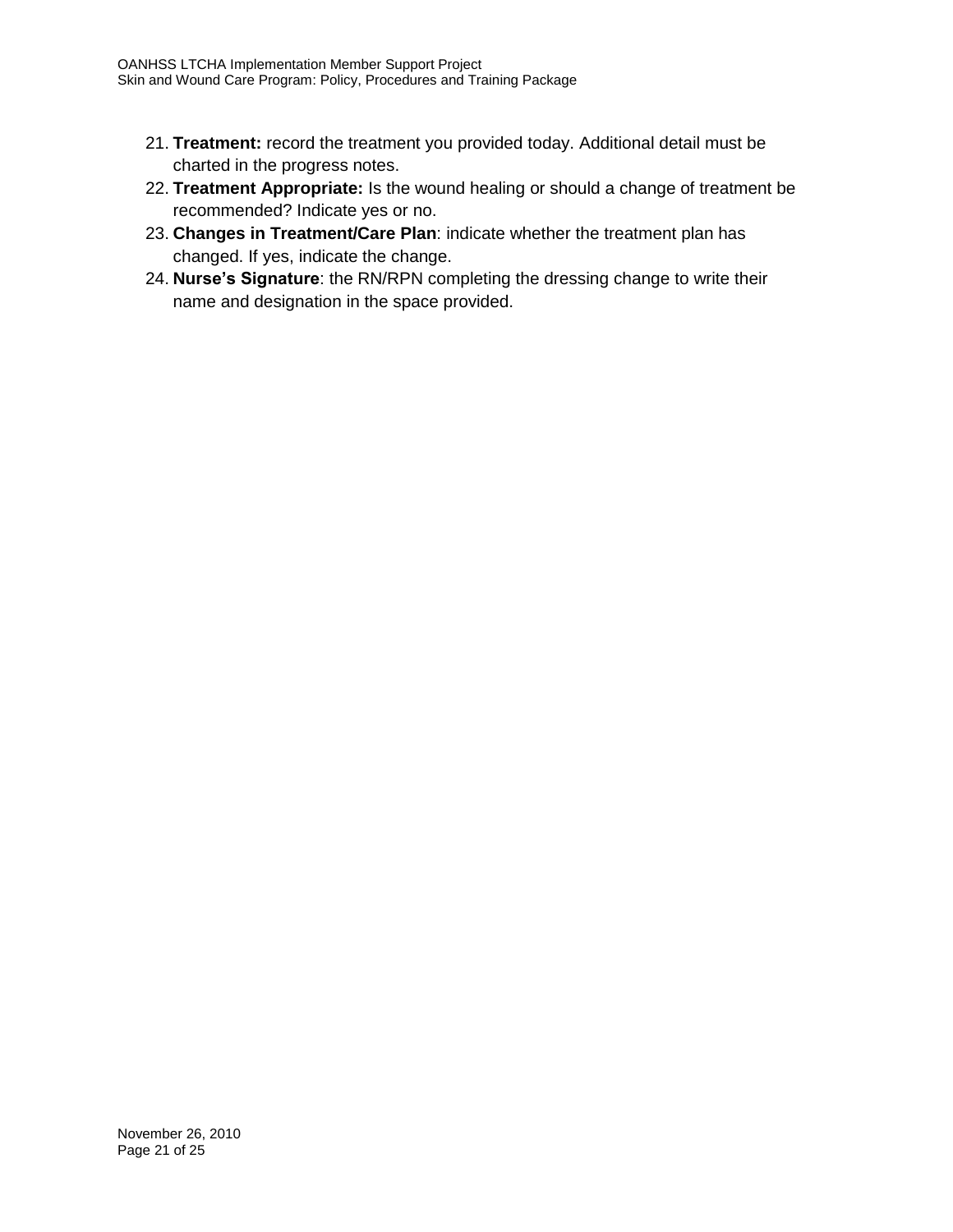- 21. **Treatment:** record the treatment you provided today. Additional detail must be charted in the progress notes.
- 22. **Treatment Appropriate:** Is the wound healing or should a change of treatment be recommended? Indicate yes or no.
- 23. **Changes in Treatment/Care Plan**: indicate whether the treatment plan has changed. If yes, indicate the change.
- 24. **Nurse's Signature**: the RN/RPN completing the dressing change to write their name and designation in the space provided.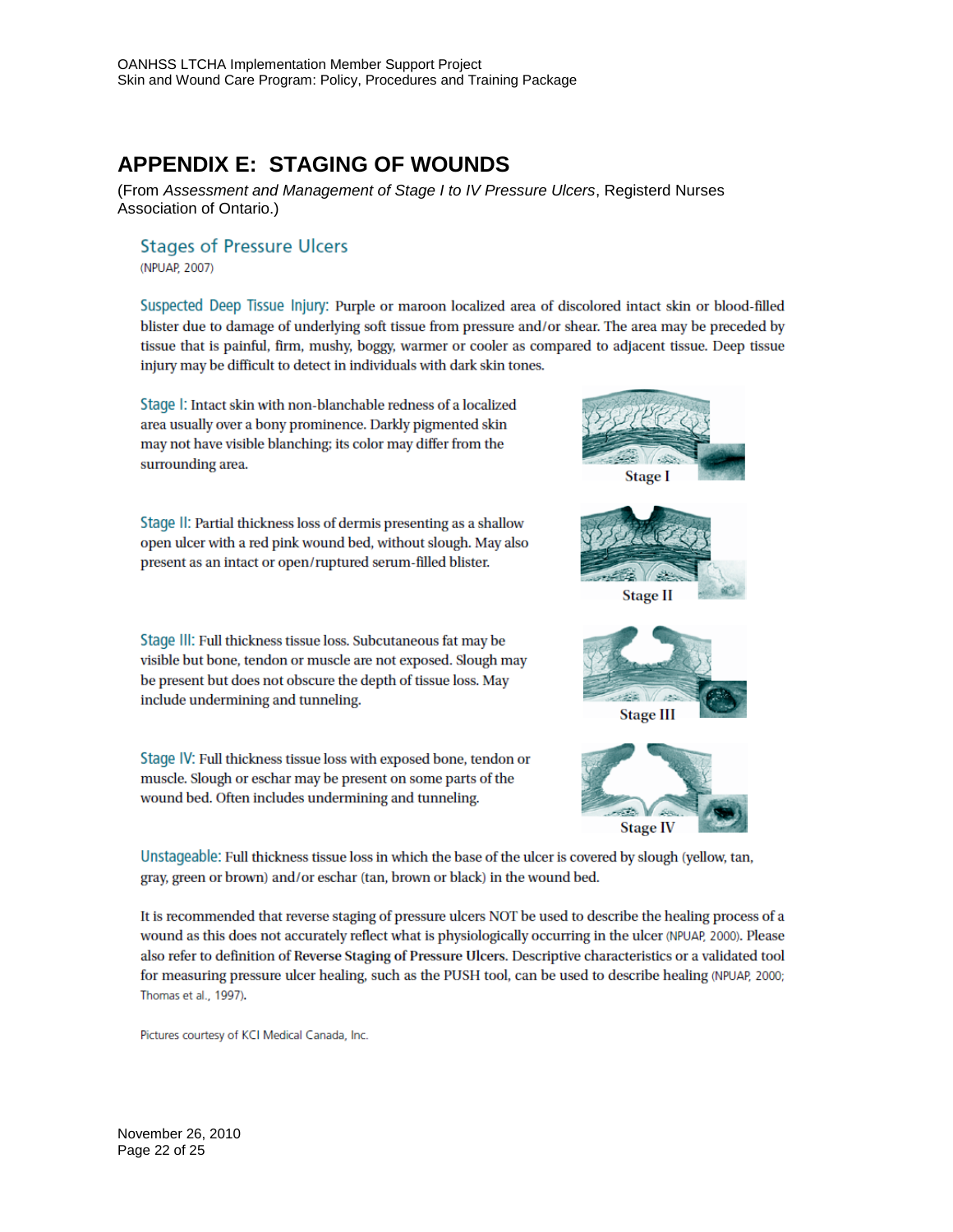# **APPENDIX E: STAGING OF WOUNDS**

(From *Assessment and Management of Stage I to IV Pressure Ulcers*, Registerd Nurses Association of Ontario.)

**Stages of Pressure Ulcers** (NPUAP, 2007)

Suspected Deep Tissue Injury: Purple or maroon localized area of discolored intact skin or blood-filled blister due to damage of underlying soft tissue from pressure and/or shear. The area may be preceded by tissue that is painful, firm, mushy, boggy, warmer or cooler as compared to adjacent tissue. Deep tissue injury may be difficult to detect in individuals with dark skin tones.

Stage I: Intact skin with non-blanchable redness of a localized area usually over a bony prominence. Darkly pigmented skin may not have visible blanching; its color may differ from the surrounding area.

Stage II: Partial thickness loss of dermis presenting as a shallow open ulcer with a red pink wound bed, without slough. May also present as an intact or open/ruptured serum-filled blister.

Stage III: Full thickness tissue loss. Subcutaneous fat may be visible but bone, tendon or muscle are not exposed. Slough may be present but does not obscure the depth of tissue loss. May include undermining and tunneling.

Stage IV: Full thickness tissue loss with exposed bone, tendon or muscle. Slough or eschar may be present on some parts of the wound bed. Often includes undermining and tunneling.









Unstageable: Full thickness tissue loss in which the base of the ulcer is covered by slough (yellow, tan, gray, green or brown) and/or eschar (tan, brown or black) in the wound bed.

It is recommended that reverse staging of pressure ulcers NOT be used to describe the healing process of a wound as this does not accurately reflect what is physiologically occurring in the ulcer (NPUAP, 2000). Please also refer to definition of Reverse Staging of Pressure Ulcers. Descriptive characteristics or a validated tool for measuring pressure ulcer healing, such as the PUSH tool, can be used to describe healing (NPUAP, 2000; Thomas et al., 1997).

Pictures courtesy of KCI Medical Canada, Inc.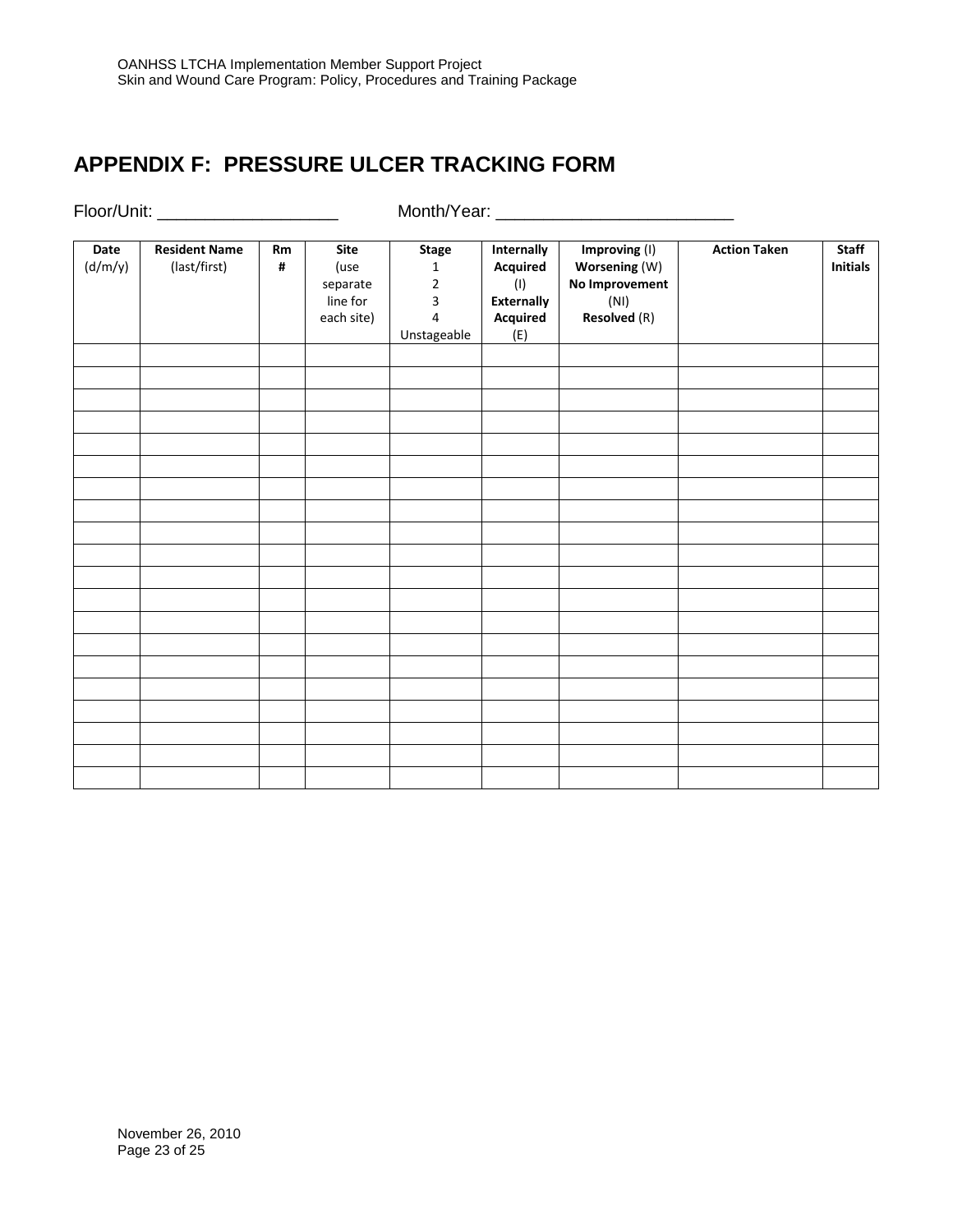# **APPENDIX F: PRESSURE ULCER TRACKING FORM**

Floor/Unit: \_\_\_\_\_\_\_\_\_\_\_\_\_\_\_\_\_\_\_ Month/Year: \_\_\_\_\_\_\_\_\_\_\_\_\_\_\_\_\_\_\_\_\_\_\_\_\_

| Date    | <b>Resident Name</b> | Rm             | <b>Site</b> | <b>Stage</b>   | Internally        | Improving (I)       | <b>Action Taken</b> | <b>Staff</b>    |
|---------|----------------------|----------------|-------------|----------------|-------------------|---------------------|---------------------|-----------------|
| (d/m/y) | (last/first)         | $\pmb{\sharp}$ | (use        | $\mathbf{1}$   | Acquired          | Worsening (W)       |                     | <b>Initials</b> |
|         |                      |                | separate    | $\overline{2}$ | (1)               | No Improvement      |                     |                 |
|         |                      |                | line for    | $\overline{3}$ | <b>Externally</b> | (NI)                |                     |                 |
|         |                      |                | each site)  | 4              | Acquired          | <b>Resolved</b> (R) |                     |                 |
|         |                      |                |             | Unstageable    | (E)               |                     |                     |                 |
|         |                      |                |             |                |                   |                     |                     |                 |
|         |                      |                |             |                |                   |                     |                     |                 |
|         |                      |                |             |                |                   |                     |                     |                 |
|         |                      |                |             |                |                   |                     |                     |                 |
|         |                      |                |             |                |                   |                     |                     |                 |
|         |                      |                |             |                |                   |                     |                     |                 |
|         |                      |                |             |                |                   |                     |                     |                 |
|         |                      |                |             |                |                   |                     |                     |                 |
|         |                      |                |             |                |                   |                     |                     |                 |
|         |                      |                |             |                |                   |                     |                     |                 |
|         |                      |                |             |                |                   |                     |                     |                 |
|         |                      |                |             |                |                   |                     |                     |                 |
|         |                      |                |             |                |                   |                     |                     |                 |
|         |                      |                |             |                |                   |                     |                     |                 |
|         |                      |                |             |                |                   |                     |                     |                 |
|         |                      |                |             |                |                   |                     |                     |                 |
|         |                      |                |             |                |                   |                     |                     |                 |
|         |                      |                |             |                |                   |                     |                     |                 |
|         |                      |                |             |                |                   |                     |                     |                 |
|         |                      |                |             |                |                   |                     |                     |                 |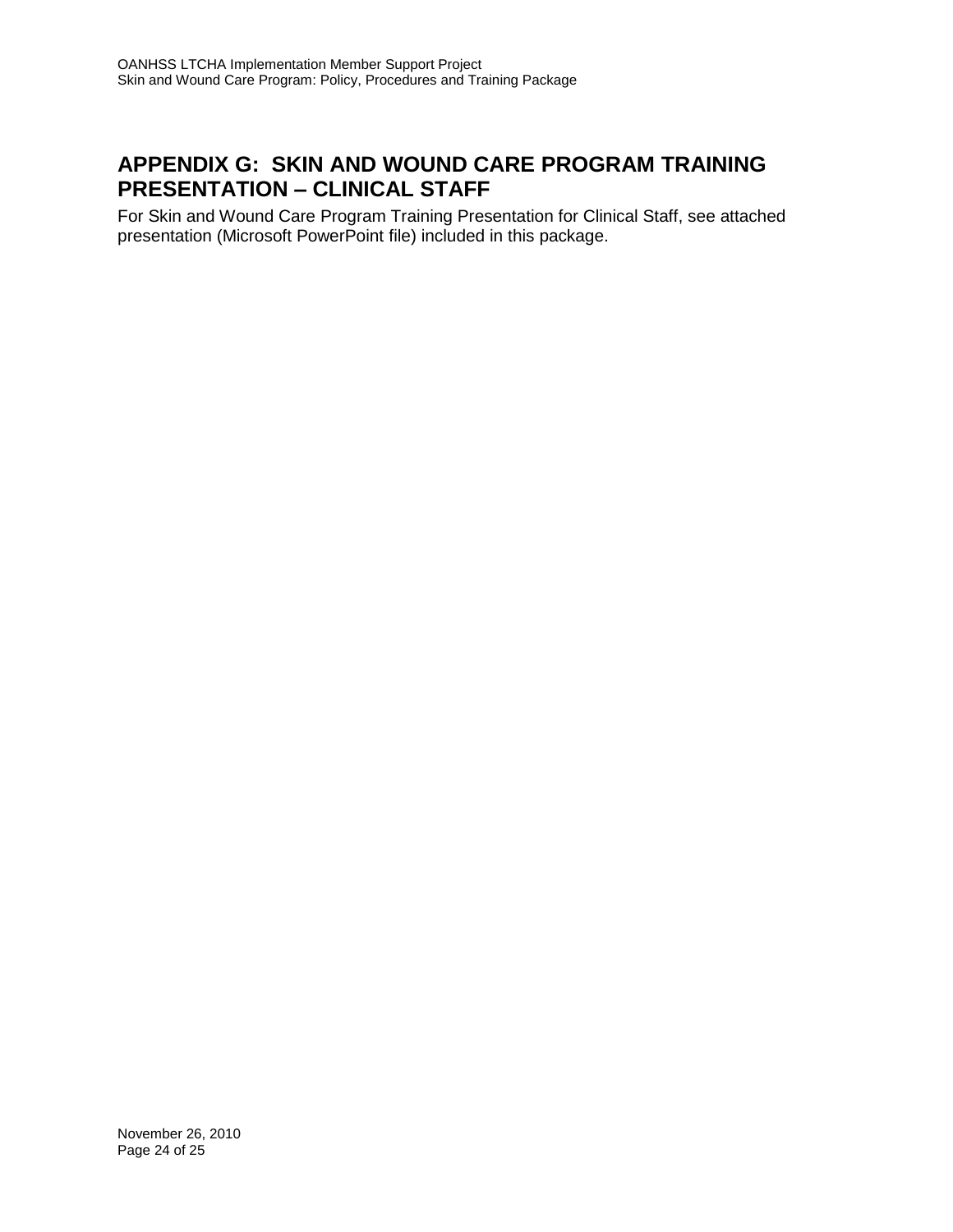### **APPENDIX G: SKIN AND WOUND CARE PROGRAM TRAINING PRESENTATION – CLINICAL STAFF**

For Skin and Wound Care Program Training Presentation for Clinical Staff, see attached presentation (Microsoft PowerPoint file) included in this package.